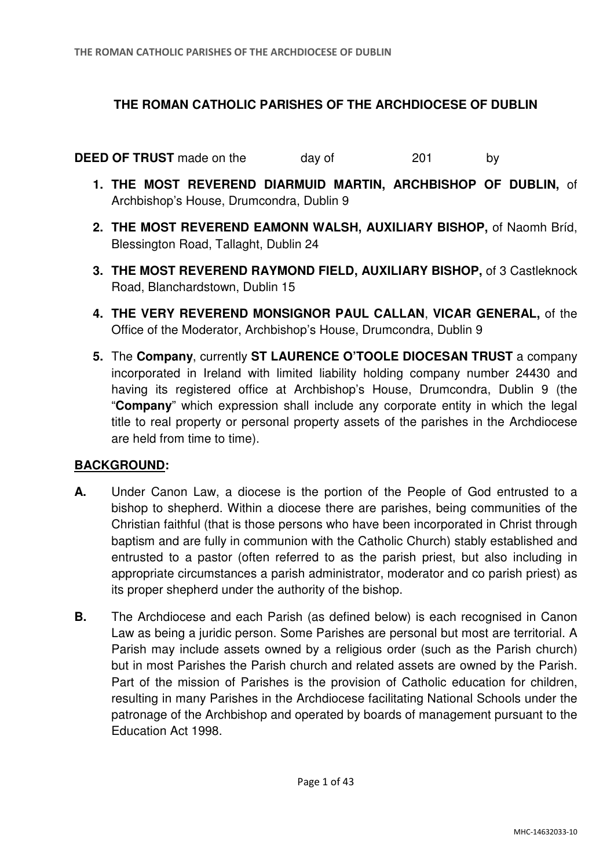# **THE ROMAN CATHOLIC PARISHES OF THE ARCHDIOCESE OF DUBLIN**

**DEED OF TRUST** made on the day of 201 by

- **1. THE MOST REVEREND DIARMUID MARTIN, ARCHBISHOP OF DUBLIN,** of Archbishop's House, Drumcondra, Dublin 9
- **2. THE MOST REVEREND EAMONN WALSH, AUXILIARY BISHOP,** of Naomh Bríd, Blessington Road, Tallaght, Dublin 24
- **3. THE MOST REVEREND RAYMOND FIELD, AUXILIARY BISHOP,** of 3 Castleknock Road, Blanchardstown, Dublin 15
- **4. THE VERY REVEREND MONSIGNOR PAUL CALLAN**, **VICAR GENERAL,** of the Office of the Moderator, Archbishop's House, Drumcondra, Dublin 9
- **5.** The **Company**, currently **ST LAURENCE O'TOOLE DIOCESAN TRUST** a company incorporated in Ireland with limited liability holding company number 24430 and having its registered office at Archbishop's House, Drumcondra, Dublin 9 (the "**Company**" which expression shall include any corporate entity in which the legal title to real property or personal property assets of the parishes in the Archdiocese are held from time to time).

# **BACKGROUND:**

- **A.** Under Canon Law, a diocese is the portion of the People of God entrusted to a bishop to shepherd. Within a diocese there are parishes, being communities of the Christian faithful (that is those persons who have been incorporated in Christ through baptism and are fully in communion with the Catholic Church) stably established and entrusted to a pastor (often referred to as the parish priest, but also including in appropriate circumstances a parish administrator, moderator and co parish priest) as its proper shepherd under the authority of the bishop.
- **B.** The Archdiocese and each Parish (as defined below) is each recognised in Canon Law as being a juridic person. Some Parishes are personal but most are territorial. A Parish may include assets owned by a religious order (such as the Parish church) but in most Parishes the Parish church and related assets are owned by the Parish. Part of the mission of Parishes is the provision of Catholic education for children, resulting in many Parishes in the Archdiocese facilitating National Schools under the patronage of the Archbishop and operated by boards of management pursuant to the Education Act 1998.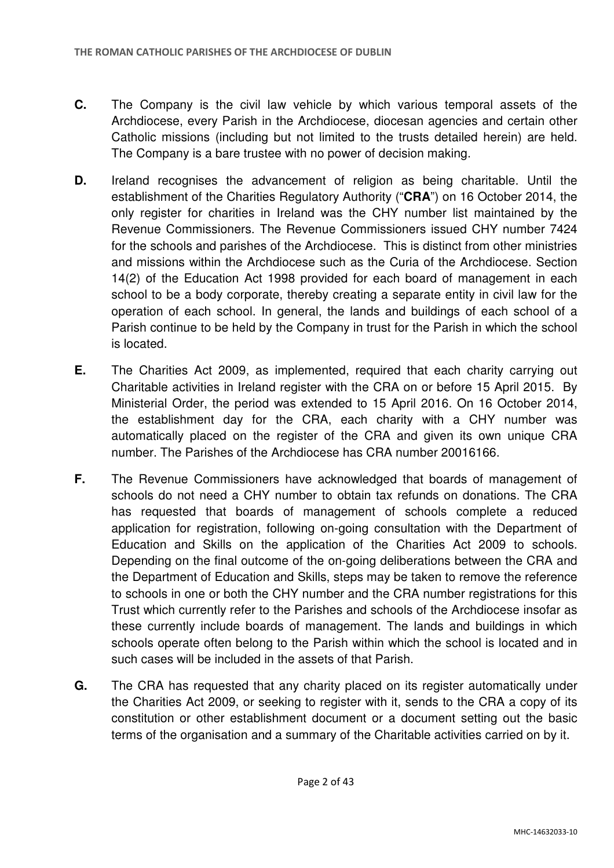- **C.** The Company is the civil law vehicle by which various temporal assets of the Archdiocese, every Parish in the Archdiocese, diocesan agencies and certain other Catholic missions (including but not limited to the trusts detailed herein) are held. The Company is a bare trustee with no power of decision making.
- **D.** Ireland recognises the advancement of religion as being charitable. Until the establishment of the Charities Regulatory Authority ("**CRA**") on 16 October 2014, the only register for charities in Ireland was the CHY number list maintained by the Revenue Commissioners. The Revenue Commissioners issued CHY number 7424 for the schools and parishes of the Archdiocese. This is distinct from other ministries and missions within the Archdiocese such as the Curia of the Archdiocese. Section 14(2) of the Education Act 1998 provided for each board of management in each school to be a body corporate, thereby creating a separate entity in civil law for the operation of each school. In general, the lands and buildings of each school of a Parish continue to be held by the Company in trust for the Parish in which the school is located.
- **E.** The Charities Act 2009, as implemented, required that each charity carrying out Charitable activities in Ireland register with the CRA on or before 15 April 2015. By Ministerial Order, the period was extended to 15 April 2016. On 16 October 2014, the establishment day for the CRA, each charity with a CHY number was automatically placed on the register of the CRA and given its own unique CRA number. The Parishes of the Archdiocese has CRA number 20016166.
- **F.** The Revenue Commissioners have acknowledged that boards of management of schools do not need a CHY number to obtain tax refunds on donations. The CRA has requested that boards of management of schools complete a reduced application for registration, following on-going consultation with the Department of Education and Skills on the application of the Charities Act 2009 to schools. Depending on the final outcome of the on-going deliberations between the CRA and the Department of Education and Skills, steps may be taken to remove the reference to schools in one or both the CHY number and the CRA number registrations for this Trust which currently refer to the Parishes and schools of the Archdiocese insofar as these currently include boards of management. The lands and buildings in which schools operate often belong to the Parish within which the school is located and in such cases will be included in the assets of that Parish.
- **G.** The CRA has requested that any charity placed on its register automatically under the Charities Act 2009, or seeking to register with it, sends to the CRA a copy of its constitution or other establishment document or a document setting out the basic terms of the organisation and a summary of the Charitable activities carried on by it.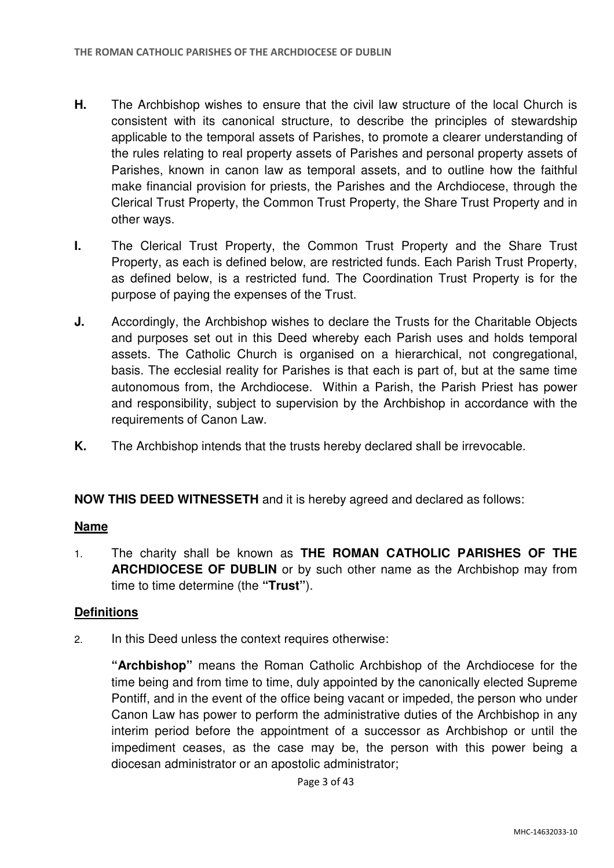- **H.** The Archbishop wishes to ensure that the civil law structure of the local Church is consistent with its canonical structure, to describe the principles of stewardship applicable to the temporal assets of Parishes, to promote a clearer understanding of the rules relating to real property assets of Parishes and personal property assets of Parishes, known in canon law as temporal assets, and to outline how the faithful make financial provision for priests, the Parishes and the Archdiocese, through the Clerical Trust Property, the Common Trust Property, the Share Trust Property and in other ways.
- **I.** The Clerical Trust Property, the Common Trust Property and the Share Trust Property, as each is defined below, are restricted funds. Each Parish Trust Property, as defined below, is a restricted fund. The Coordination Trust Property is for the purpose of paying the expenses of the Trust.
- **J.** Accordingly, the Archbishop wishes to declare the Trusts for the Charitable Objects and purposes set out in this Deed whereby each Parish uses and holds temporal assets. The Catholic Church is organised on a hierarchical, not congregational, basis. The ecclesial reality for Parishes is that each is part of, but at the same time autonomous from, the Archdiocese. Within a Parish, the Parish Priest has power and responsibility, subject to supervision by the Archbishop in accordance with the requirements of Canon Law.
- **K.** The Archbishop intends that the trusts hereby declared shall be irrevocable.

### **NOW THIS DEED WITNESSETH** and it is hereby agreed and declared as follows:

### **Name**

1. The charity shall be known as **THE ROMAN CATHOLIC PARISHES OF THE ARCHDIOCESE OF DUBLIN** or by such other name as the Archbishop may from time to time determine (the **"Trust"**).

### **Definitions**

2. In this Deed unless the context requires otherwise:

**"Archbishop"** means the Roman Catholic Archbishop of the Archdiocese for the time being and from time to time, duly appointed by the canonically elected Supreme Pontiff, and in the event of the office being vacant or impeded, the person who under Canon Law has power to perform the administrative duties of the Archbishop in any interim period before the appointment of a successor as Archbishop or until the impediment ceases, as the case may be, the person with this power being a diocesan administrator or an apostolic administrator;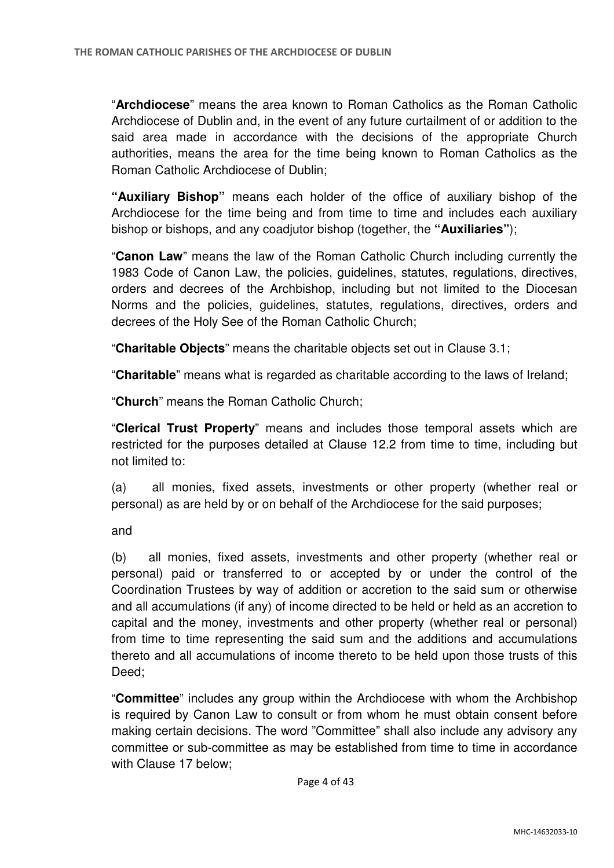"**Archdiocese**" means the area known to Roman Catholics as the Roman Catholic Archdiocese of Dublin and, in the event of any future curtailment of or addition to the said area made in accordance with the decisions of the appropriate Church authorities, means the area for the time being known to Roman Catholics as the Roman Catholic Archdiocese of Dublin;

**"Auxiliary Bishop"** means each holder of the office of auxiliary bishop of the Archdiocese for the time being and from time to time and includes each auxiliary bishop or bishops, and any coadjutor bishop (together, the **"Auxiliaries"**);

"**Canon Law**" means the law of the Roman Catholic Church including currently the 1983 Code of Canon Law, the policies, guidelines, statutes, regulations, directives, orders and decrees of the Archbishop, including but not limited to the Diocesan Norms and the policies, guidelines, statutes, regulations, directives, orders and decrees of the Holy See of the Roman Catholic Church;

"**Charitable Objects**" means the charitable objects set out in Clause 3.1;

"**Charitable**" means what is regarded as charitable according to the laws of Ireland;

"**Church**" means the Roman Catholic Church;

"**Clerical Trust Property**" means and includes those temporal assets which are restricted for the purposes detailed at Clause 12.2 from time to time, including but not limited to:

(a) all monies, fixed assets, investments or other property (whether real or personal) as are held by or on behalf of the Archdiocese for the said purposes;

and

(b) all monies, fixed assets, investments and other property (whether real or personal) paid or transferred to or accepted by or under the control of the Coordination Trustees by way of addition or accretion to the said sum or otherwise and all accumulations (if any) of income directed to be held or held as an accretion to capital and the money, investments and other property (whether real or personal) from time to time representing the said sum and the additions and accumulations thereto and all accumulations of income thereto to be held upon those trusts of this Deed;

"**Committee**" includes any group within the Archdiocese with whom the Archbishop is required by Canon Law to consult or from whom he must obtain consent before making certain decisions. The word "Committee" shall also include any advisory any committee or sub-committee as may be established from time to time in accordance with Clause 17 below;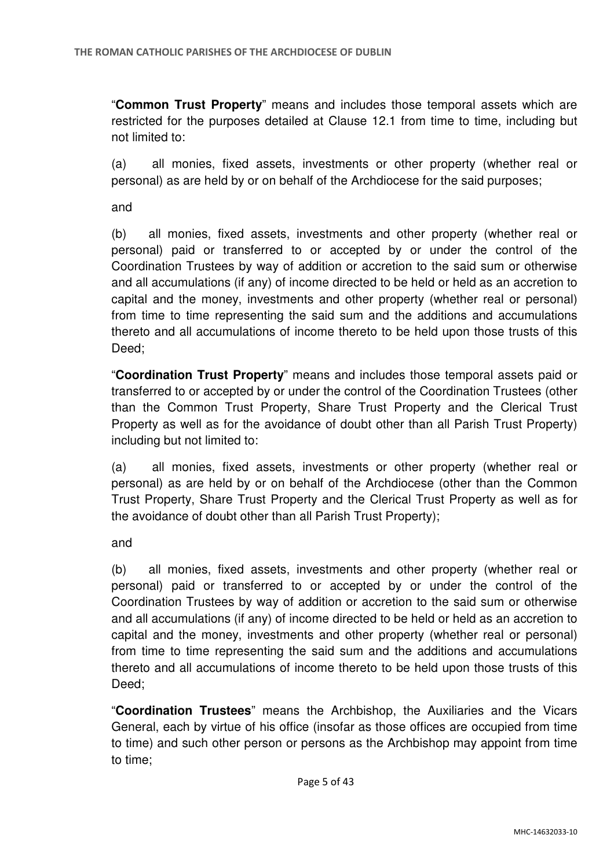"**Common Trust Property**" means and includes those temporal assets which are restricted for the purposes detailed at Clause 12.1 from time to time, including but not limited to:

(a) all monies, fixed assets, investments or other property (whether real or personal) as are held by or on behalf of the Archdiocese for the said purposes;

and

(b) all monies, fixed assets, investments and other property (whether real or personal) paid or transferred to or accepted by or under the control of the Coordination Trustees by way of addition or accretion to the said sum or otherwise and all accumulations (if any) of income directed to be held or held as an accretion to capital and the money, investments and other property (whether real or personal) from time to time representing the said sum and the additions and accumulations thereto and all accumulations of income thereto to be held upon those trusts of this Deed;

"**Coordination Trust Property**" means and includes those temporal assets paid or transferred to or accepted by or under the control of the Coordination Trustees (other than the Common Trust Property, Share Trust Property and the Clerical Trust Property as well as for the avoidance of doubt other than all Parish Trust Property) including but not limited to:

(a) all monies, fixed assets, investments or other property (whether real or personal) as are held by or on behalf of the Archdiocese (other than the Common Trust Property, Share Trust Property and the Clerical Trust Property as well as for the avoidance of doubt other than all Parish Trust Property);

and

(b) all monies, fixed assets, investments and other property (whether real or personal) paid or transferred to or accepted by or under the control of the Coordination Trustees by way of addition or accretion to the said sum or otherwise and all accumulations (if any) of income directed to be held or held as an accretion to capital and the money, investments and other property (whether real or personal) from time to time representing the said sum and the additions and accumulations thereto and all accumulations of income thereto to be held upon those trusts of this Deed:

"**Coordination Trustees**" means the Archbishop, the Auxiliaries and the Vicars General, each by virtue of his office (insofar as those offices are occupied from time to time) and such other person or persons as the Archbishop may appoint from time to time;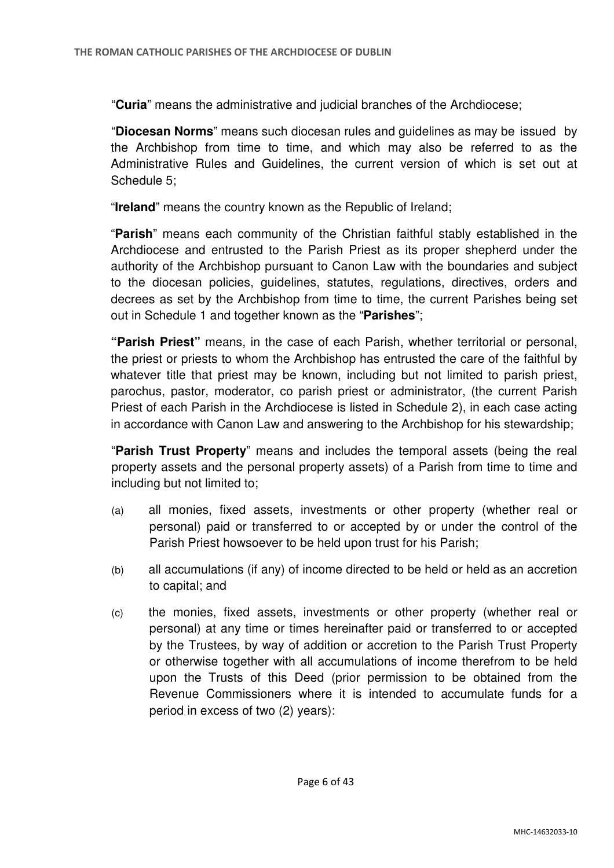"**Curia**" means the administrative and judicial branches of the Archdiocese;

"**Diocesan Norms**" means such diocesan rules and guidelines as may be issued by the Archbishop from time to time, and which may also be referred to as the Administrative Rules and Guidelines, the current version of which is set out at Schedule 5;

"**Ireland**" means the country known as the Republic of Ireland;

"**Parish**" means each community of the Christian faithful stably established in the Archdiocese and entrusted to the Parish Priest as its proper shepherd under the authority of the Archbishop pursuant to Canon Law with the boundaries and subject to the diocesan policies, guidelines, statutes, regulations, directives, orders and decrees as set by the Archbishop from time to time, the current Parishes being set out in Schedule 1 and together known as the "**Parishes**";

**"Parish Priest"** means, in the case of each Parish, whether territorial or personal, the priest or priests to whom the Archbishop has entrusted the care of the faithful by whatever title that priest may be known, including but not limited to parish priest, parochus, pastor, moderator, co parish priest or administrator, (the current Parish Priest of each Parish in the Archdiocese is listed in Schedule 2), in each case acting in accordance with Canon Law and answering to the Archbishop for his stewardship;

"**Parish Trust Property**" means and includes the temporal assets (being the real property assets and the personal property assets) of a Parish from time to time and including but not limited to;

- (a) all monies, fixed assets, investments or other property (whether real or personal) paid or transferred to or accepted by or under the control of the Parish Priest howsoever to be held upon trust for his Parish;
- (b) all accumulations (if any) of income directed to be held or held as an accretion to capital; and
- (c) the monies, fixed assets, investments or other property (whether real or personal) at any time or times hereinafter paid or transferred to or accepted by the Trustees, by way of addition or accretion to the Parish Trust Property or otherwise together with all accumulations of income therefrom to be held upon the Trusts of this Deed (prior permission to be obtained from the Revenue Commissioners where it is intended to accumulate funds for a period in excess of two (2) years):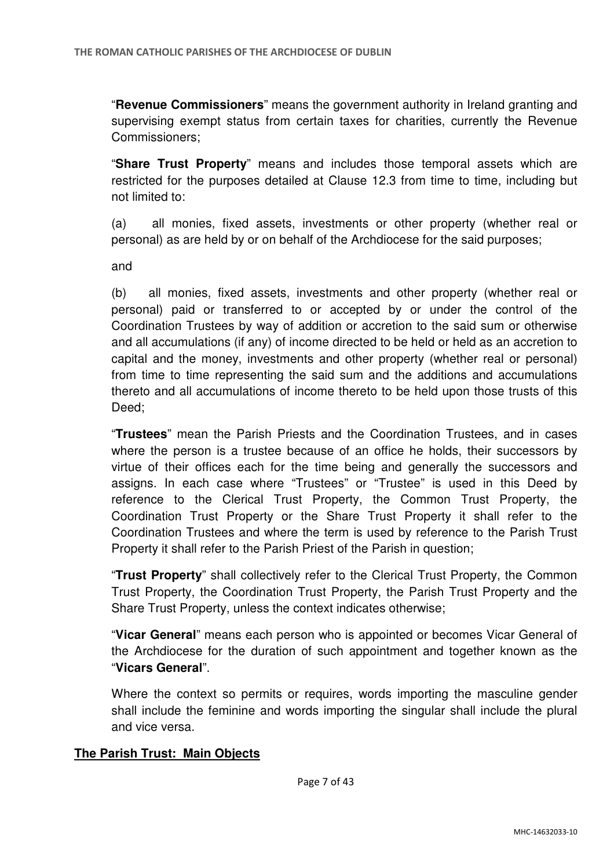"**Revenue Commissioners**" means the government authority in Ireland granting and supervising exempt status from certain taxes for charities, currently the Revenue Commissioners;

"**Share Trust Property**" means and includes those temporal assets which are restricted for the purposes detailed at Clause 12.3 from time to time, including but not limited to:

(a) all monies, fixed assets, investments or other property (whether real or personal) as are held by or on behalf of the Archdiocese for the said purposes;

and

(b) all monies, fixed assets, investments and other property (whether real or personal) paid or transferred to or accepted by or under the control of the Coordination Trustees by way of addition or accretion to the said sum or otherwise and all accumulations (if any) of income directed to be held or held as an accretion to capital and the money, investments and other property (whether real or personal) from time to time representing the said sum and the additions and accumulations thereto and all accumulations of income thereto to be held upon those trusts of this Deed;

"**Trustees**" mean the Parish Priests and the Coordination Trustees, and in cases where the person is a trustee because of an office he holds, their successors by virtue of their offices each for the time being and generally the successors and assigns. In each case where "Trustees" or "Trustee" is used in this Deed by reference to the Clerical Trust Property, the Common Trust Property, the Coordination Trust Property or the Share Trust Property it shall refer to the Coordination Trustees and where the term is used by reference to the Parish Trust Property it shall refer to the Parish Priest of the Parish in question;

"**Trust Property**" shall collectively refer to the Clerical Trust Property, the Common Trust Property, the Coordination Trust Property, the Parish Trust Property and the Share Trust Property, unless the context indicates otherwise;

"**Vicar General**" means each person who is appointed or becomes Vicar General of the Archdiocese for the duration of such appointment and together known as the "**Vicars General**".

Where the context so permits or requires, words importing the masculine gender shall include the feminine and words importing the singular shall include the plural and vice versa.

# **The Parish Trust: Main Objects**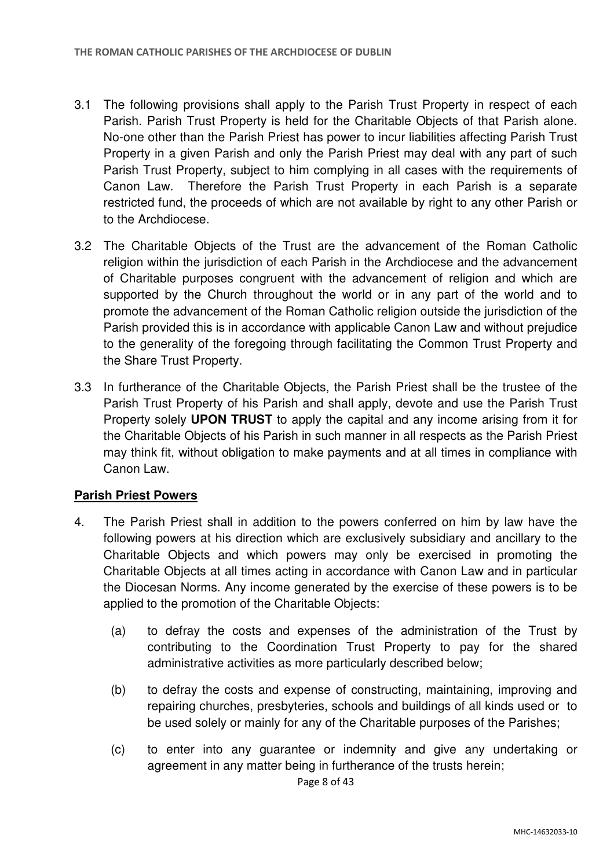- 3.1 The following provisions shall apply to the Parish Trust Property in respect of each Parish. Parish Trust Property is held for the Charitable Objects of that Parish alone. No-one other than the Parish Priest has power to incur liabilities affecting Parish Trust Property in a given Parish and only the Parish Priest may deal with any part of such Parish Trust Property, subject to him complying in all cases with the requirements of Canon Law. Therefore the Parish Trust Property in each Parish is a separate restricted fund, the proceeds of which are not available by right to any other Parish or to the Archdiocese.
- 3.2 The Charitable Objects of the Trust are the advancement of the Roman Catholic religion within the jurisdiction of each Parish in the Archdiocese and the advancement of Charitable purposes congruent with the advancement of religion and which are supported by the Church throughout the world or in any part of the world and to promote the advancement of the Roman Catholic religion outside the jurisdiction of the Parish provided this is in accordance with applicable Canon Law and without prejudice to the generality of the foregoing through facilitating the Common Trust Property and the Share Trust Property.
- 3.3 In furtherance of the Charitable Objects, the Parish Priest shall be the trustee of the Parish Trust Property of his Parish and shall apply, devote and use the Parish Trust Property solely **UPON TRUST** to apply the capital and any income arising from it for the Charitable Objects of his Parish in such manner in all respects as the Parish Priest may think fit, without obligation to make payments and at all times in compliance with Canon Law.

### **Parish Priest Powers**

- 4. The Parish Priest shall in addition to the powers conferred on him by law have the following powers at his direction which are exclusively subsidiary and ancillary to the Charitable Objects and which powers may only be exercised in promoting the Charitable Objects at all times acting in accordance with Canon Law and in particular the Diocesan Norms. Any income generated by the exercise of these powers is to be applied to the promotion of the Charitable Objects:
	- (a) to defray the costs and expenses of the administration of the Trust by contributing to the Coordination Trust Property to pay for the shared administrative activities as more particularly described below;
	- (b) to defray the costs and expense of constructing, maintaining, improving and repairing churches, presbyteries, schools and buildings of all kinds used or to be used solely or mainly for any of the Charitable purposes of the Parishes;
	- (c) to enter into any guarantee or indemnity and give any undertaking or agreement in any matter being in furtherance of the trusts herein;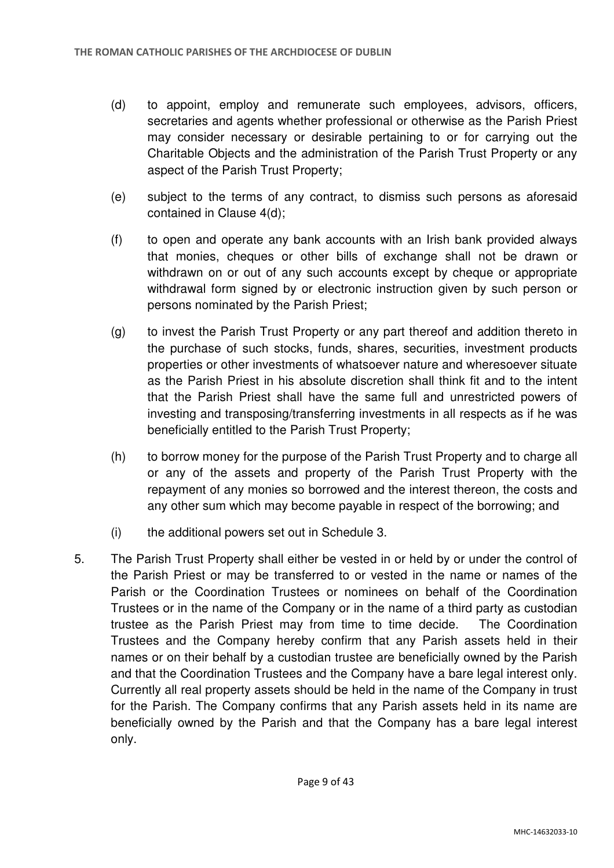- (d) to appoint, employ and remunerate such employees, advisors, officers, secretaries and agents whether professional or otherwise as the Parish Priest may consider necessary or desirable pertaining to or for carrying out the Charitable Objects and the administration of the Parish Trust Property or any aspect of the Parish Trust Property;
- (e) subject to the terms of any contract, to dismiss such persons as aforesaid contained in Clause 4(d);
- (f) to open and operate any bank accounts with an Irish bank provided always that monies, cheques or other bills of exchange shall not be drawn or withdrawn on or out of any such accounts except by cheque or appropriate withdrawal form signed by or electronic instruction given by such person or persons nominated by the Parish Priest;
- (g) to invest the Parish Trust Property or any part thereof and addition thereto in the purchase of such stocks, funds, shares, securities, investment products properties or other investments of whatsoever nature and wheresoever situate as the Parish Priest in his absolute discretion shall think fit and to the intent that the Parish Priest shall have the same full and unrestricted powers of investing and transposing/transferring investments in all respects as if he was beneficially entitled to the Parish Trust Property;
- (h) to borrow money for the purpose of the Parish Trust Property and to charge all or any of the assets and property of the Parish Trust Property with the repayment of any monies so borrowed and the interest thereon, the costs and any other sum which may become payable in respect of the borrowing; and
- (i) the additional powers set out in Schedule 3.
- 5. The Parish Trust Property shall either be vested in or held by or under the control of the Parish Priest or may be transferred to or vested in the name or names of the Parish or the Coordination Trustees or nominees on behalf of the Coordination Trustees or in the name of the Company or in the name of a third party as custodian trustee as the Parish Priest may from time to time decide. The Coordination Trustees and the Company hereby confirm that any Parish assets held in their names or on their behalf by a custodian trustee are beneficially owned by the Parish and that the Coordination Trustees and the Company have a bare legal interest only. Currently all real property assets should be held in the name of the Company in trust for the Parish. The Company confirms that any Parish assets held in its name are beneficially owned by the Parish and that the Company has a bare legal interest only.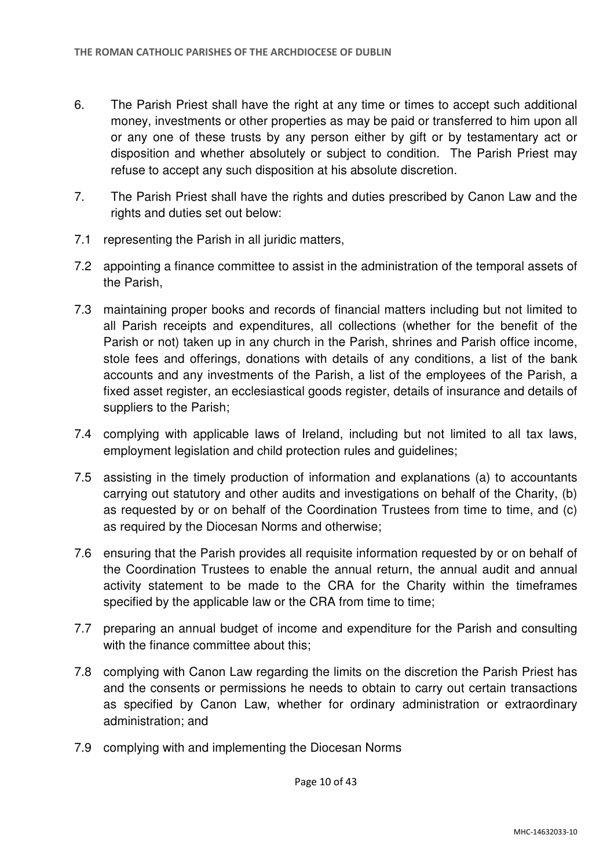- 6. The Parish Priest shall have the right at any time or times to accept such additional money, investments or other properties as may be paid or transferred to him upon all or any one of these trusts by any person either by gift or by testamentary act or disposition and whether absolutely or subject to condition. The Parish Priest may refuse to accept any such disposition at his absolute discretion.
- 7. The Parish Priest shall have the rights and duties prescribed by Canon Law and the rights and duties set out below:
- 7.1 representing the Parish in all juridic matters,
- 7.2 appointing a finance committee to assist in the administration of the temporal assets of the Parish,
- 7.3 maintaining proper books and records of financial matters including but not limited to all Parish receipts and expenditures, all collections (whether for the benefit of the Parish or not) taken up in any church in the Parish, shrines and Parish office income, stole fees and offerings, donations with details of any conditions, a list of the bank accounts and any investments of the Parish, a list of the employees of the Parish, a fixed asset register, an ecclesiastical goods register, details of insurance and details of suppliers to the Parish;
- 7.4 complying with applicable laws of Ireland, including but not limited to all tax laws, employment legislation and child protection rules and guidelines;
- 7.5 assisting in the timely production of information and explanations (a) to accountants carrying out statutory and other audits and investigations on behalf of the Charity, (b) as requested by or on behalf of the Coordination Trustees from time to time, and (c) as required by the Diocesan Norms and otherwise;
- 7.6 ensuring that the Parish provides all requisite information requested by or on behalf of the Coordination Trustees to enable the annual return, the annual audit and annual activity statement to be made to the CRA for the Charity within the timeframes specified by the applicable law or the CRA from time to time;
- 7.7 preparing an annual budget of income and expenditure for the Parish and consulting with the finance committee about this:
- 7.8 complying with Canon Law regarding the limits on the discretion the Parish Priest has and the consents or permissions he needs to obtain to carry out certain transactions as specified by Canon Law, whether for ordinary administration or extraordinary administration; and
- 7.9 complying with and implementing the Diocesan Norms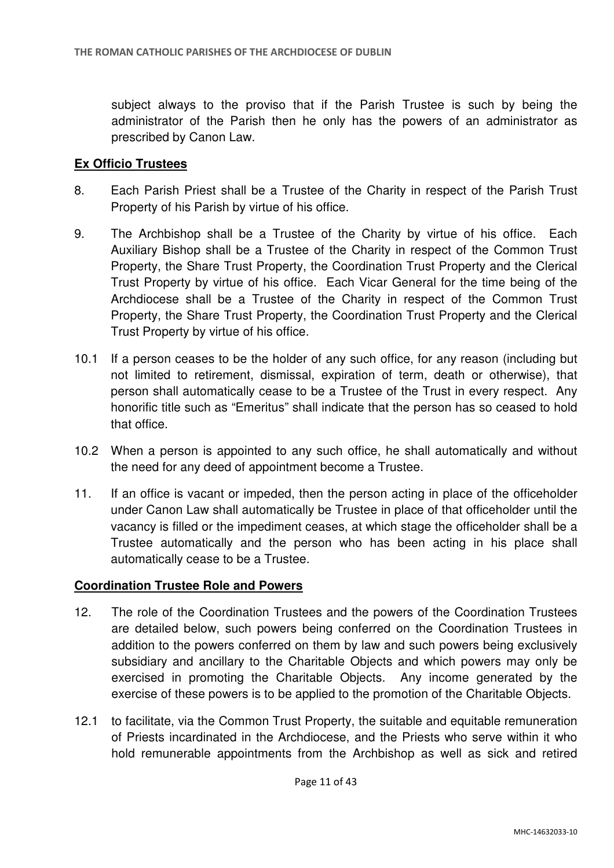subject always to the proviso that if the Parish Trustee is such by being the administrator of the Parish then he only has the powers of an administrator as prescribed by Canon Law.

### **Ex Officio Trustees**

- 8. Each Parish Priest shall be a Trustee of the Charity in respect of the Parish Trust Property of his Parish by virtue of his office.
- 9. The Archbishop shall be a Trustee of the Charity by virtue of his office. Each Auxiliary Bishop shall be a Trustee of the Charity in respect of the Common Trust Property, the Share Trust Property, the Coordination Trust Property and the Clerical Trust Property by virtue of his office. Each Vicar General for the time being of the Archdiocese shall be a Trustee of the Charity in respect of the Common Trust Property, the Share Trust Property, the Coordination Trust Property and the Clerical Trust Property by virtue of his office.
- 10.1 If a person ceases to be the holder of any such office, for any reason (including but not limited to retirement, dismissal, expiration of term, death or otherwise), that person shall automatically cease to be a Trustee of the Trust in every respect. Any honorific title such as "Emeritus" shall indicate that the person has so ceased to hold that office.
- 10.2 When a person is appointed to any such office, he shall automatically and without the need for any deed of appointment become a Trustee.
- 11. If an office is vacant or impeded, then the person acting in place of the officeholder under Canon Law shall automatically be Trustee in place of that officeholder until the vacancy is filled or the impediment ceases, at which stage the officeholder shall be a Trustee automatically and the person who has been acting in his place shall automatically cease to be a Trustee.

### **Coordination Trustee Role and Powers**

- 12. The role of the Coordination Trustees and the powers of the Coordination Trustees are detailed below, such powers being conferred on the Coordination Trustees in addition to the powers conferred on them by law and such powers being exclusively subsidiary and ancillary to the Charitable Objects and which powers may only be exercised in promoting the Charitable Objects. Any income generated by the exercise of these powers is to be applied to the promotion of the Charitable Objects.
- 12.1 to facilitate, via the Common Trust Property, the suitable and equitable remuneration of Priests incardinated in the Archdiocese, and the Priests who serve within it who hold remunerable appointments from the Archbishop as well as sick and retired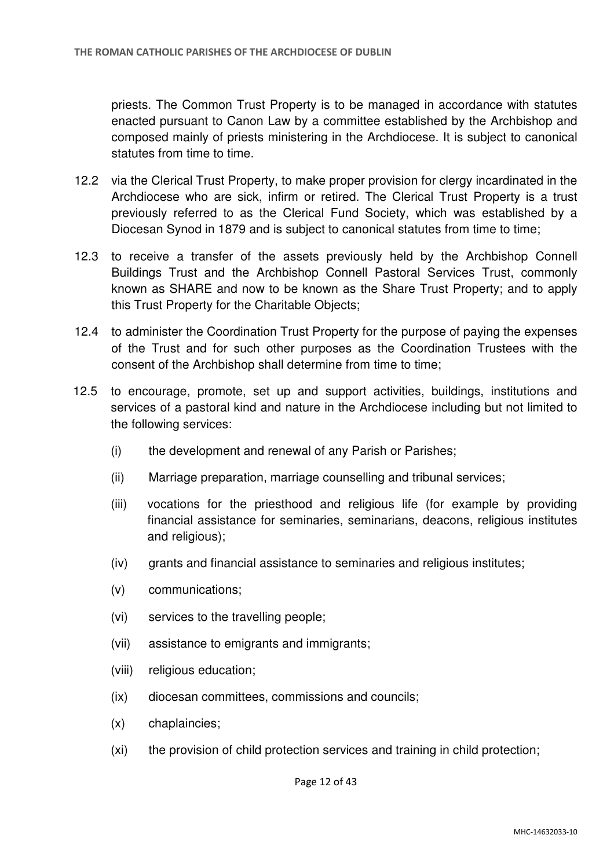priests. The Common Trust Property is to be managed in accordance with statutes enacted pursuant to Canon Law by a committee established by the Archbishop and composed mainly of priests ministering in the Archdiocese. It is subject to canonical statutes from time to time.

- 12.2 via the Clerical Trust Property, to make proper provision for clergy incardinated in the Archdiocese who are sick, infirm or retired. The Clerical Trust Property is a trust previously referred to as the Clerical Fund Society, which was established by a Diocesan Synod in 1879 and is subject to canonical statutes from time to time;
- 12.3 to receive a transfer of the assets previously held by the Archbishop Connell Buildings Trust and the Archbishop Connell Pastoral Services Trust, commonly known as SHARE and now to be known as the Share Trust Property; and to apply this Trust Property for the Charitable Objects;
- 12.4 to administer the Coordination Trust Property for the purpose of paying the expenses of the Trust and for such other purposes as the Coordination Trustees with the consent of the Archbishop shall determine from time to time;
- 12.5 to encourage, promote, set up and support activities, buildings, institutions and services of a pastoral kind and nature in the Archdiocese including but not limited to the following services:
	- (i) the development and renewal of any Parish or Parishes;
	- (ii) Marriage preparation, marriage counselling and tribunal services;
	- (iii) vocations for the priesthood and religious life (for example by providing financial assistance for seminaries, seminarians, deacons, religious institutes and religious);
	- (iv) grants and financial assistance to seminaries and religious institutes;
	- (v) communications;
	- (vi) services to the travelling people;
	- (vii) assistance to emigrants and immigrants;
	- (viii) religious education;
	- (ix) diocesan committees, commissions and councils;
	- (x) chaplaincies;
	- (xi) the provision of child protection services and training in child protection;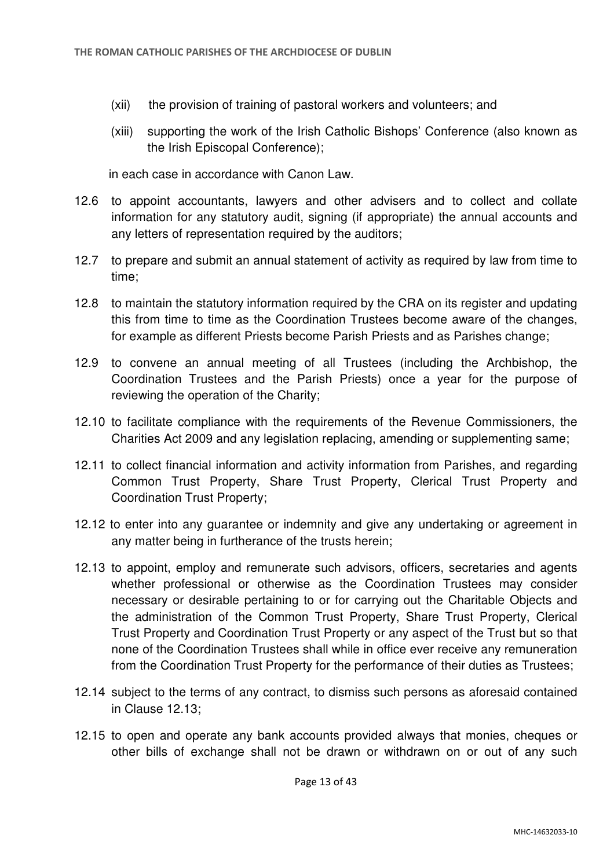- (xii) the provision of training of pastoral workers and volunteers; and
- (xiii) supporting the work of the Irish Catholic Bishops' Conference (also known as the Irish Episcopal Conference);

in each case in accordance with Canon Law.

- 12.6 to appoint accountants, lawyers and other advisers and to collect and collate information for any statutory audit, signing (if appropriate) the annual accounts and any letters of representation required by the auditors;
- 12.7 to prepare and submit an annual statement of activity as required by law from time to time;
- 12.8 to maintain the statutory information required by the CRA on its register and updating this from time to time as the Coordination Trustees become aware of the changes, for example as different Priests become Parish Priests and as Parishes change;
- 12.9 to convene an annual meeting of all Trustees (including the Archbishop, the Coordination Trustees and the Parish Priests) once a year for the purpose of reviewing the operation of the Charity;
- 12.10 to facilitate compliance with the requirements of the Revenue Commissioners, the Charities Act 2009 and any legislation replacing, amending or supplementing same;
- 12.11 to collect financial information and activity information from Parishes, and regarding Common Trust Property, Share Trust Property, Clerical Trust Property and Coordination Trust Property;
- 12.12 to enter into any guarantee or indemnity and give any undertaking or agreement in any matter being in furtherance of the trusts herein;
- 12.13 to appoint, employ and remunerate such advisors, officers, secretaries and agents whether professional or otherwise as the Coordination Trustees may consider necessary or desirable pertaining to or for carrying out the Charitable Objects and the administration of the Common Trust Property, Share Trust Property, Clerical Trust Property and Coordination Trust Property or any aspect of the Trust but so that none of the Coordination Trustees shall while in office ever receive any remuneration from the Coordination Trust Property for the performance of their duties as Trustees;
- 12.14 subject to the terms of any contract, to dismiss such persons as aforesaid contained in Clause 12.13;
- 12.15 to open and operate any bank accounts provided always that monies, cheques or other bills of exchange shall not be drawn or withdrawn on or out of any such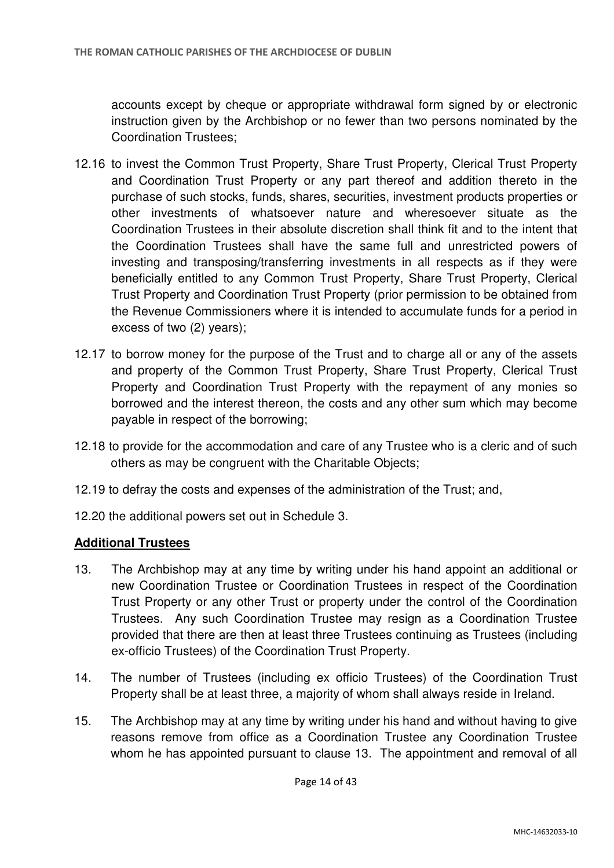accounts except by cheque or appropriate withdrawal form signed by or electronic instruction given by the Archbishop or no fewer than two persons nominated by the Coordination Trustees;

- 12.16 to invest the Common Trust Property, Share Trust Property, Clerical Trust Property and Coordination Trust Property or any part thereof and addition thereto in the purchase of such stocks, funds, shares, securities, investment products properties or other investments of whatsoever nature and wheresoever situate as the Coordination Trustees in their absolute discretion shall think fit and to the intent that the Coordination Trustees shall have the same full and unrestricted powers of investing and transposing/transferring investments in all respects as if they were beneficially entitled to any Common Trust Property, Share Trust Property, Clerical Trust Property and Coordination Trust Property (prior permission to be obtained from the Revenue Commissioners where it is intended to accumulate funds for a period in excess of two (2) years);
- 12.17 to borrow money for the purpose of the Trust and to charge all or any of the assets and property of the Common Trust Property, Share Trust Property, Clerical Trust Property and Coordination Trust Property with the repayment of any monies so borrowed and the interest thereon, the costs and any other sum which may become payable in respect of the borrowing;
- 12.18 to provide for the accommodation and care of any Trustee who is a cleric and of such others as may be congruent with the Charitable Objects;
- 12.19 to defray the costs and expenses of the administration of the Trust; and,
- 12.20 the additional powers set out in Schedule 3.

### **Additional Trustees**

- 13. The Archbishop may at any time by writing under his hand appoint an additional or new Coordination Trustee or Coordination Trustees in respect of the Coordination Trust Property or any other Trust or property under the control of the Coordination Trustees. Any such Coordination Trustee may resign as a Coordination Trustee provided that there are then at least three Trustees continuing as Trustees (including ex-officio Trustees) of the Coordination Trust Property.
- 14. The number of Trustees (including ex officio Trustees) of the Coordination Trust Property shall be at least three, a majority of whom shall always reside in Ireland.
- 15. The Archbishop may at any time by writing under his hand and without having to give reasons remove from office as a Coordination Trustee any Coordination Trustee whom he has appointed pursuant to clause 13. The appointment and removal of all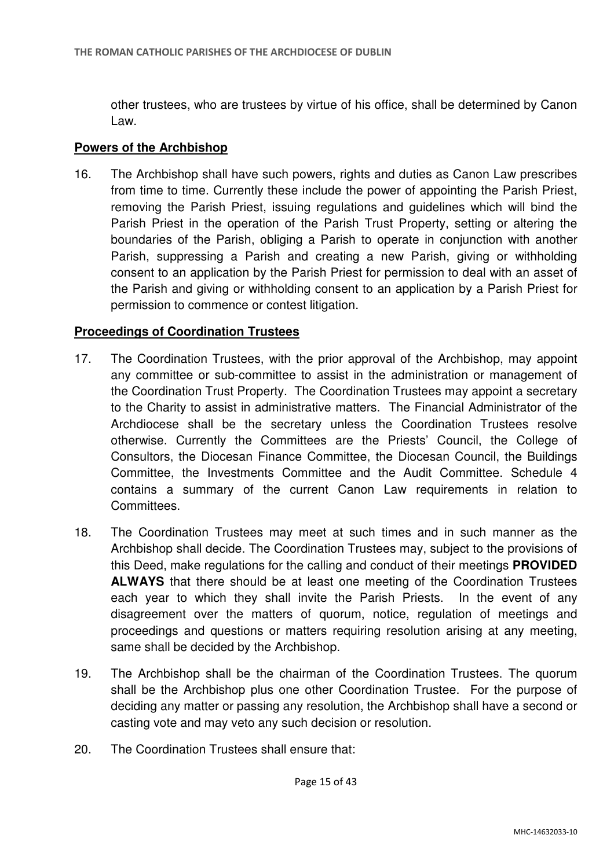other trustees, who are trustees by virtue of his office, shall be determined by Canon Law.

### **Powers of the Archbishop**

16. The Archbishop shall have such powers, rights and duties as Canon Law prescribes from time to time. Currently these include the power of appointing the Parish Priest, removing the Parish Priest, issuing regulations and guidelines which will bind the Parish Priest in the operation of the Parish Trust Property, setting or altering the boundaries of the Parish, obliging a Parish to operate in conjunction with another Parish, suppressing a Parish and creating a new Parish, giving or withholding consent to an application by the Parish Priest for permission to deal with an asset of the Parish and giving or withholding consent to an application by a Parish Priest for permission to commence or contest litigation.

## **Proceedings of Coordination Trustees**

- 17. The Coordination Trustees, with the prior approval of the Archbishop, may appoint any committee or sub-committee to assist in the administration or management of the Coordination Trust Property. The Coordination Trustees may appoint a secretary to the Charity to assist in administrative matters. The Financial Administrator of the Archdiocese shall be the secretary unless the Coordination Trustees resolve otherwise. Currently the Committees are the Priests' Council, the College of Consultors, the Diocesan Finance Committee, the Diocesan Council, the Buildings Committee, the Investments Committee and the Audit Committee. Schedule 4 contains a summary of the current Canon Law requirements in relation to Committees.
- 18. The Coordination Trustees may meet at such times and in such manner as the Archbishop shall decide. The Coordination Trustees may, subject to the provisions of this Deed, make regulations for the calling and conduct of their meetings **PROVIDED ALWAYS** that there should be at least one meeting of the Coordination Trustees each year to which they shall invite the Parish Priests. In the event of any disagreement over the matters of quorum, notice, regulation of meetings and proceedings and questions or matters requiring resolution arising at any meeting, same shall be decided by the Archbishop.
- 19. The Archbishop shall be the chairman of the Coordination Trustees. The quorum shall be the Archbishop plus one other Coordination Trustee. For the purpose of deciding any matter or passing any resolution, the Archbishop shall have a second or casting vote and may veto any such decision or resolution.
- 20. The Coordination Trustees shall ensure that: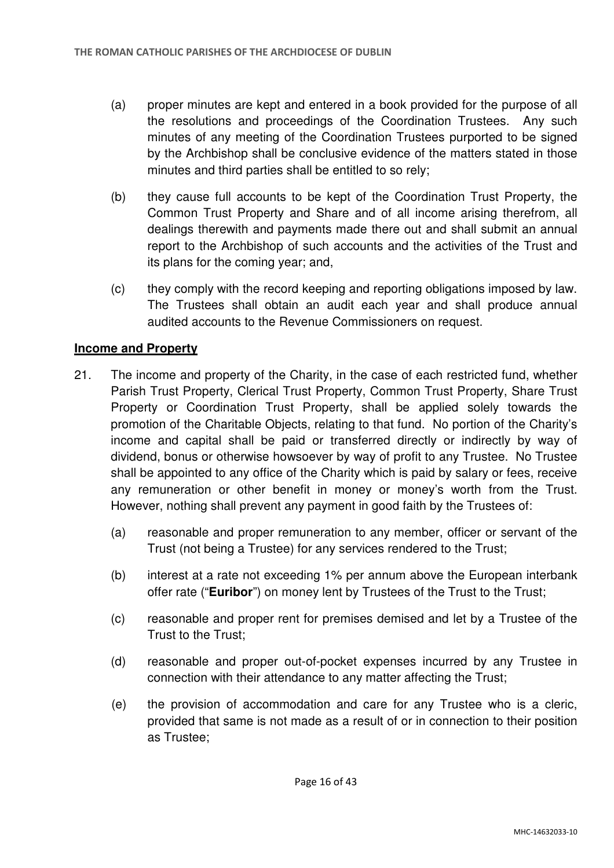- (a) proper minutes are kept and entered in a book provided for the purpose of all the resolutions and proceedings of the Coordination Trustees. Any such minutes of any meeting of the Coordination Trustees purported to be signed by the Archbishop shall be conclusive evidence of the matters stated in those minutes and third parties shall be entitled to so rely;
- (b) they cause full accounts to be kept of the Coordination Trust Property, the Common Trust Property and Share and of all income arising therefrom, all dealings therewith and payments made there out and shall submit an annual report to the Archbishop of such accounts and the activities of the Trust and its plans for the coming year; and,
- (c) they comply with the record keeping and reporting obligations imposed by law. The Trustees shall obtain an audit each year and shall produce annual audited accounts to the Revenue Commissioners on request.

# **Income and Property**

- 21. The income and property of the Charity, in the case of each restricted fund, whether Parish Trust Property, Clerical Trust Property, Common Trust Property, Share Trust Property or Coordination Trust Property, shall be applied solely towards the promotion of the Charitable Objects, relating to that fund. No portion of the Charity's income and capital shall be paid or transferred directly or indirectly by way of dividend, bonus or otherwise howsoever by way of profit to any Trustee. No Trustee shall be appointed to any office of the Charity which is paid by salary or fees, receive any remuneration or other benefit in money or money's worth from the Trust. However, nothing shall prevent any payment in good faith by the Trustees of:
	- (a) reasonable and proper remuneration to any member, officer or servant of the Trust (not being a Trustee) for any services rendered to the Trust;
	- (b) interest at a rate not exceeding 1% per annum above the European interbank offer rate ("**Euribor**") on money lent by Trustees of the Trust to the Trust;
	- (c) reasonable and proper rent for premises demised and let by a Trustee of the Trust to the Trust;
	- (d) reasonable and proper out-of-pocket expenses incurred by any Trustee in connection with their attendance to any matter affecting the Trust;
	- (e) the provision of accommodation and care for any Trustee who is a cleric, provided that same is not made as a result of or in connection to their position as Trustee;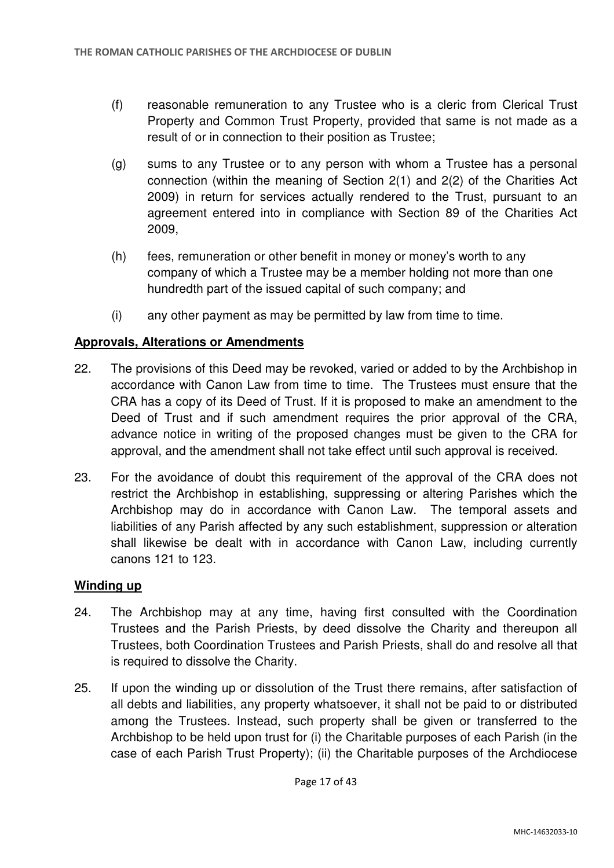- (f) reasonable remuneration to any Trustee who is a cleric from Clerical Trust Property and Common Trust Property, provided that same is not made as a result of or in connection to their position as Trustee;
- (g) sums to any Trustee or to any person with whom a Trustee has a personal connection (within the meaning of Section 2(1) and 2(2) of the Charities Act 2009) in return for services actually rendered to the Trust, pursuant to an agreement entered into in compliance with Section 89 of the Charities Act 2009,
- (h) fees, remuneration or other benefit in money or money's worth to any company of which a Trustee may be a member holding not more than one hundredth part of the issued capital of such company; and
- (i) any other payment as may be permitted by law from time to time.

# **Approvals, Alterations or Amendments**

- 22. The provisions of this Deed may be revoked, varied or added to by the Archbishop in accordance with Canon Law from time to time. The Trustees must ensure that the CRA has a copy of its Deed of Trust. If it is proposed to make an amendment to the Deed of Trust and if such amendment requires the prior approval of the CRA, advance notice in writing of the proposed changes must be given to the CRA for approval, and the amendment shall not take effect until such approval is received.
- 23. For the avoidance of doubt this requirement of the approval of the CRA does not restrict the Archbishop in establishing, suppressing or altering Parishes which the Archbishop may do in accordance with Canon Law. The temporal assets and liabilities of any Parish affected by any such establishment, suppression or alteration shall likewise be dealt with in accordance with Canon Law, including currently canons 121 to 123.

### **Winding up**

- 24. The Archbishop may at any time, having first consulted with the Coordination Trustees and the Parish Priests, by deed dissolve the Charity and thereupon all Trustees, both Coordination Trustees and Parish Priests, shall do and resolve all that is required to dissolve the Charity.
- 25. If upon the winding up or dissolution of the Trust there remains, after satisfaction of all debts and liabilities, any property whatsoever, it shall not be paid to or distributed among the Trustees. Instead, such property shall be given or transferred to the Archbishop to be held upon trust for (i) the Charitable purposes of each Parish (in the case of each Parish Trust Property); (ii) the Charitable purposes of the Archdiocese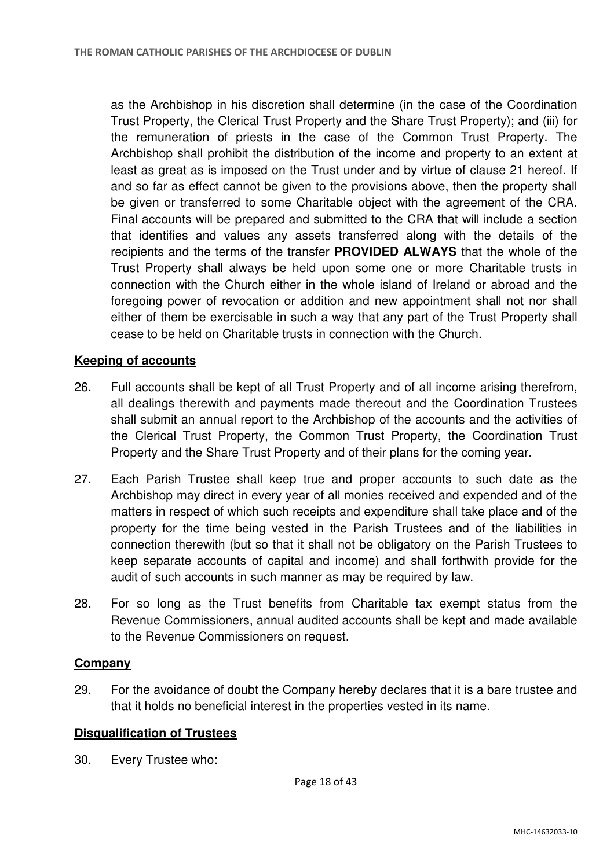as the Archbishop in his discretion shall determine (in the case of the Coordination Trust Property, the Clerical Trust Property and the Share Trust Property); and (iii) for the remuneration of priests in the case of the Common Trust Property. The Archbishop shall prohibit the distribution of the income and property to an extent at least as great as is imposed on the Trust under and by virtue of clause 21 hereof. If and so far as effect cannot be given to the provisions above, then the property shall be given or transferred to some Charitable object with the agreement of the CRA. Final accounts will be prepared and submitted to the CRA that will include a section that identifies and values any assets transferred along with the details of the recipients and the terms of the transfer **PROVIDED ALWAYS** that the whole of the Trust Property shall always be held upon some one or more Charitable trusts in connection with the Church either in the whole island of Ireland or abroad and the foregoing power of revocation or addition and new appointment shall not nor shall either of them be exercisable in such a way that any part of the Trust Property shall cease to be held on Charitable trusts in connection with the Church.

## **Keeping of accounts**

- 26. Full accounts shall be kept of all Trust Property and of all income arising therefrom, all dealings therewith and payments made thereout and the Coordination Trustees shall submit an annual report to the Archbishop of the accounts and the activities of the Clerical Trust Property, the Common Trust Property, the Coordination Trust Property and the Share Trust Property and of their plans for the coming year.
- 27. Each Parish Trustee shall keep true and proper accounts to such date as the Archbishop may direct in every year of all monies received and expended and of the matters in respect of which such receipts and expenditure shall take place and of the property for the time being vested in the Parish Trustees and of the liabilities in connection therewith (but so that it shall not be obligatory on the Parish Trustees to keep separate accounts of capital and income) and shall forthwith provide for the audit of such accounts in such manner as may be required by law.
- 28. For so long as the Trust benefits from Charitable tax exempt status from the Revenue Commissioners, annual audited accounts shall be kept and made available to the Revenue Commissioners on request.

### **Company**

29. For the avoidance of doubt the Company hereby declares that it is a bare trustee and that it holds no beneficial interest in the properties vested in its name.

### **Disqualification of Trustees**

30. Every Trustee who: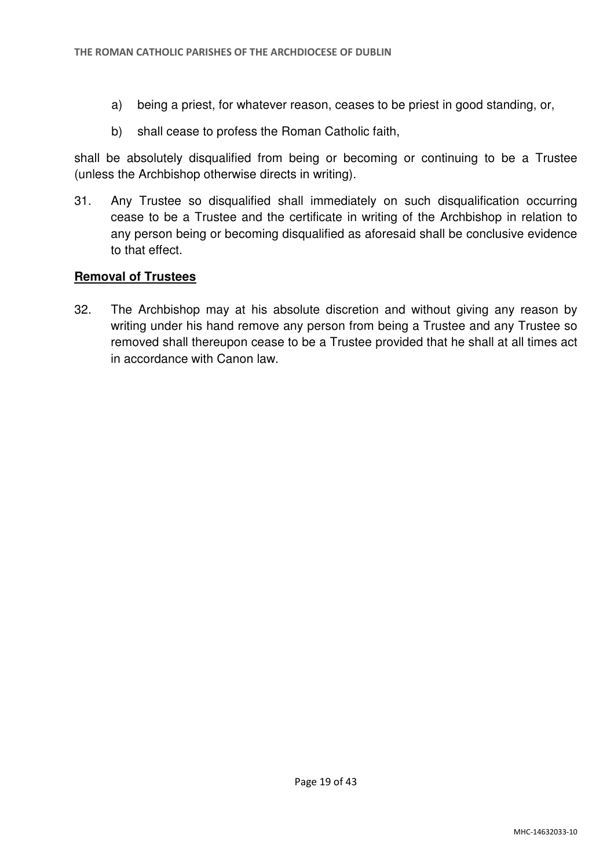- a) being a priest, for whatever reason, ceases to be priest in good standing, or,
- b) shall cease to profess the Roman Catholic faith,

shall be absolutely disqualified from being or becoming or continuing to be a Trustee (unless the Archbishop otherwise directs in writing).

31. Any Trustee so disqualified shall immediately on such disqualification occurring cease to be a Trustee and the certificate in writing of the Archbishop in relation to any person being or becoming disqualified as aforesaid shall be conclusive evidence to that effect.

## **Removal of Trustees**

32. The Archbishop may at his absolute discretion and without giving any reason by writing under his hand remove any person from being a Trustee and any Trustee so removed shall thereupon cease to be a Trustee provided that he shall at all times act in accordance with Canon law.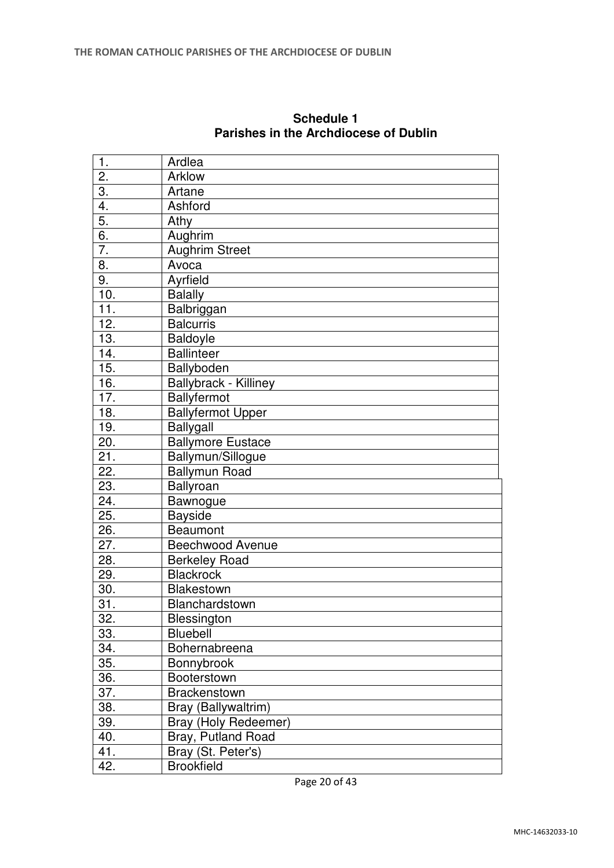| 1.               | Ardlea                   |
|------------------|--------------------------|
| 2.               | Arklow                   |
| 3.               | Artane                   |
| 4.               | Ashford                  |
| 5.               | Athy                     |
| $\overline{6}$ . | Aughrim                  |
| $\overline{7}$ . | <b>Aughrim Street</b>    |
| 8.               | Avoca                    |
| 9.               | Ayrfield                 |
| 10.              | <b>Balally</b>           |
| 11.              | Balbriggan               |
| 12.              | <b>Balcurris</b>         |
| 13.              | Baldoyle                 |
| 14.              | <b>Ballinteer</b>        |
| 15.              | <b>Ballyboden</b>        |
| 16.              | Ballybrack - Killiney    |
| 17.              | Ballyfermot              |
| 18.              | <b>Ballyfermot Upper</b> |
| 19.              | Ballygall                |
| 20.              | <b>Ballymore Eustace</b> |
| 21.              | Ballymun/Sillogue        |
| 22.              | <b>Ballymun Road</b>     |
| 23.              | Ballyroan                |
| 24.              | Bawnogue                 |
| 25.              | <b>Bayside</b>           |
| 26.              | Beaumont                 |
| 27.              | Beechwood Avenue         |
| 28.              | <b>Berkeley Road</b>     |
| 29.              | <b>Blackrock</b>         |
| 30.              | Blakestown               |
| 31.              | Blanchardstown           |
| 32.              | Blessington              |
| 33.              | <b>Bluebell</b>          |
| 34.              | Bohernabreena            |
| 35.              | Bonnybrook               |
| 36.              | Booterstown              |
| 37.              | <b>Brackenstown</b>      |
| 38.              | Bray (Ballywaltrim)      |
| 39.              | Bray (Holy Redeemer)     |
| 40.              | Bray, Putland Road       |
| 41.              | Bray (St. Peter's)       |
| 42.              | <b>Brookfield</b>        |
|                  |                          |

**Schedule 1 Parishes in the Archdiocese of Dublin**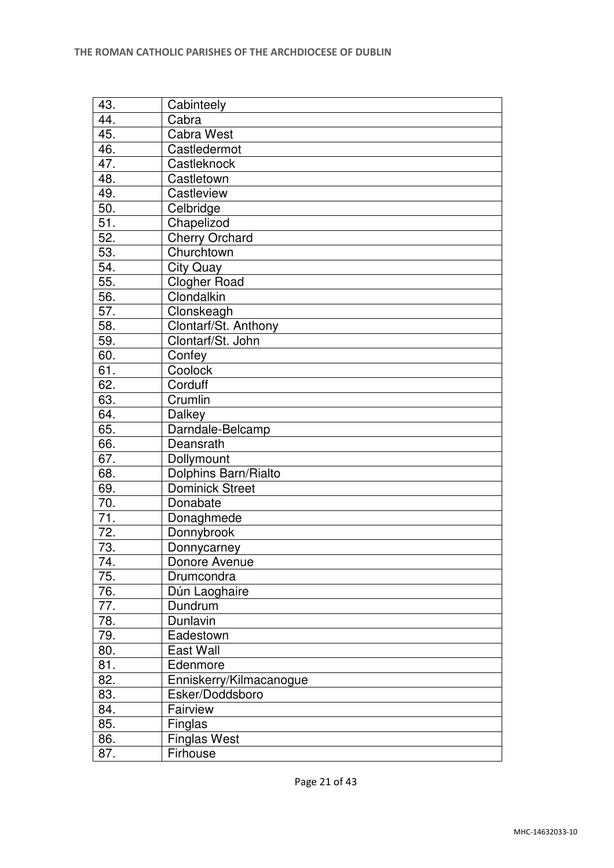| 43.               | Cabinteely              |
|-------------------|-------------------------|
| 44.               | Cabra                   |
| 45.               | <b>Cabra West</b>       |
| 46.               | Castledermot            |
| 47.               | Castleknock             |
| 48.               | Castletown              |
| 49.               | Castleview              |
| 50.               | Celbridge               |
| 51.               | Chapelizod              |
| 52.               | <b>Cherry Orchard</b>   |
| 53.               | Churchtown              |
| 54.               | <b>City Quay</b>        |
| 55.               | <b>Clogher Road</b>     |
| 56.               | Clondalkin              |
| 57.               | Clonskeagh              |
| 58.               | Clontarf/St. Anthony    |
| 59.               | Clontarf/St. John       |
| 60.               | Confey                  |
| 61.               | Coolock                 |
| 62.               | Corduff                 |
| 63.               | Crumlin                 |
| 64.               | Dalkey                  |
| 65.               | Darndale-Belcamp        |
| 66.               | Deansrath               |
| 67.               | Dollymount              |
| 68.               | Dolphins Barn/Rialto    |
| 69.               | <b>Dominick Street</b>  |
| 70.               | Donabate                |
| $\overline{71}$ . | Donaghmede              |
| $\overline{7}2.$  | Donnybrook              |
| 73.               | Donnycarney             |
| 74.               | Donore Avenue           |
| 75.               | Drumcondra              |
| 76.               | Dún Laoghaire           |
| 77.               | Dundrum                 |
| 78.               | Dunlavin                |
| 79.               | Eadestown               |
| 80.               | East Wall               |
| 81.               | Edenmore                |
| 82.               | Enniskerry/Kilmacanogue |
| 83.               | Esker/Doddsboro         |
| 84.               | Fairview                |
| 85.               | Finglas                 |
| 86.               | <b>Finglas West</b>     |
| 87.               | Firhouse                |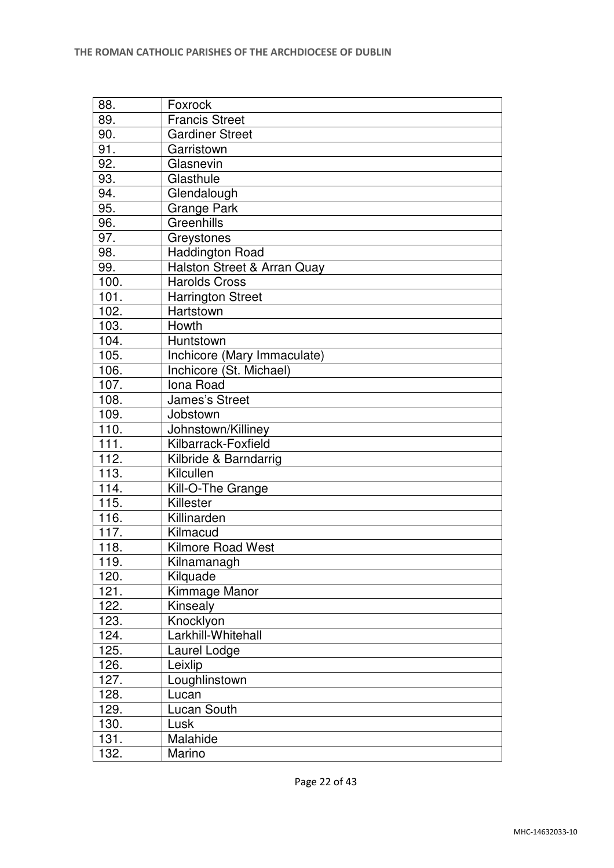| 88.               | Foxrock                     |
|-------------------|-----------------------------|
| 89.               | <b>Francis Street</b>       |
| 90.               | <b>Gardiner Street</b>      |
| 91.               | Garristown                  |
| 92.               | Glasnevin                   |
| 93.               | Glasthule                   |
| 94.               | Glendalough                 |
| 95.               | <b>Grange Park</b>          |
| 96.               | Greenhills                  |
| 97.               | Greystones                  |
| 98.               | <b>Haddington Road</b>      |
| 99.               | Halston Street & Arran Quay |
| 100.              | <b>Harolds Cross</b>        |
| 101.              | <b>Harrington Street</b>    |
| 102.              | Hartstown                   |
| 103.              | Howth                       |
| 104.              | Huntstown                   |
| 105.              | Inchicore (Mary Immaculate) |
| 106.              | Inchicore (St. Michael)     |
| 107.              | Iona Road                   |
| 108.              | <b>James's Street</b>       |
| 109.              | Jobstown                    |
| 110.              | Johnstown/Killiney          |
| $\overline{1}11.$ | Kilbarrack-Foxfield         |
| 112.              | Kilbride & Barndarrig       |
| 113.              | Kilcullen                   |
| 114.              | Kill-O-The Grange           |
| 115.              | Killester                   |
| 116.              | Killinarden                 |
| 117.              | Kilmacud                    |
| 118.              | <b>Kilmore Road West</b>    |
| 119.              | Kilnamanagh                 |
| 120.              | Kilquade                    |
| 121.              | Kimmage Manor               |
| 122.              | Kinsealy                    |
| 123.              | Knocklyon                   |
| 124.              | Larkhill-Whitehall          |
| 125.              | Laurel Lodge                |
| 126.              | Leixlip                     |
| 127.              | Loughlinstown               |
| 128.              | Lucan                       |
| 129.              | Lucan South                 |
| 130.              | Lusk                        |
| 131.              | Malahide                    |
| 132.              | Marino                      |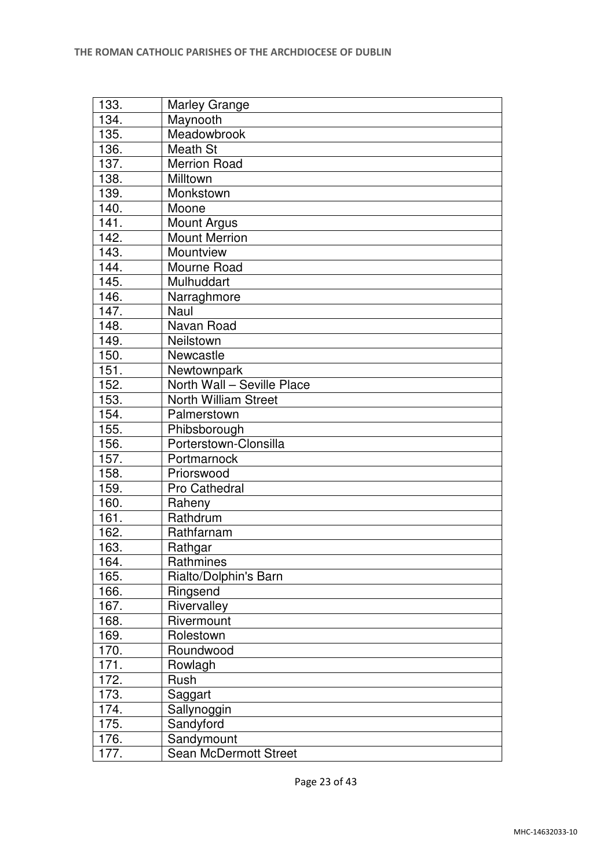| 133. | <b>Marley Grange</b>         |
|------|------------------------------|
| 134. | Maynooth                     |
| 135. | Meadowbrook                  |
| 136. | Meath St                     |
| 137. | Merrion Road                 |
| 138. | Milltown                     |
| 139. | Monkstown                    |
| 140. | Moone                        |
| 141. | <b>Mount Argus</b>           |
| 142. | <b>Mount Merrion</b>         |
| 143. | Mountview                    |
| 144. | Mourne Road                  |
| 145. | Mulhuddart                   |
| 146. | Narraghmore                  |
| 147. | Naul                         |
| 148. | Navan Road                   |
| 149. | Neilstown                    |
| 150. | Newcastle                    |
| 151. | Newtownpark                  |
| 152. | North Wall - Seville Place   |
| 153. | <b>North William Street</b>  |
| 154. | Palmerstown                  |
| 155. | Phibsborough                 |
| 156. | Porterstown-Clonsilla        |
| 157. | Portmarnock                  |
| 158. | Priorswood                   |
| 159. | Pro Cathedral                |
| 160. | Raheny                       |
| 161. | Rathdrum                     |
| 162. | Rathfarnam                   |
| 163. | Rathgar                      |
| 164. | Rathmines                    |
| 165. | Rialto/Dolphin's Barn        |
| 166. | Ringsend                     |
| 167. | Rivervalley                  |
| 168. | Rivermount                   |
| 169. | Rolestown                    |
| 170. | Roundwood                    |
| 171. | Rowlagh                      |
| 172. | Rush                         |
| 173. | Saggart                      |
| 174. | Sallynoggin                  |
| 175. | Sandyford                    |
| 176. | Sandymount                   |
| 177. | <b>Sean McDermott Street</b> |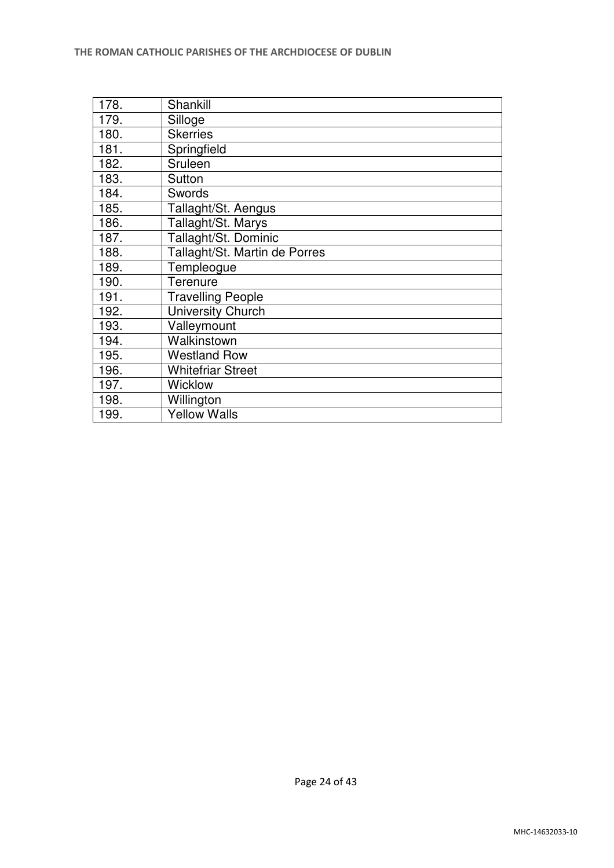| 178. | Shankill                      |
|------|-------------------------------|
| 179. | Silloge                       |
| 180. | <b>Skerries</b>               |
| 181. | Springfield                   |
| 182. | Sruleen                       |
| 183. | Sutton                        |
| 184. | Swords                        |
| 185. | Tallaght/St. Aengus           |
| 186. | Tallaght/St. Marys            |
| 187. | Tallaght/St. Dominic          |
| 188. | Tallaght/St. Martin de Porres |
| 189. | Templeogue                    |
| 190. | Terenure                      |
| 191. | <b>Travelling People</b>      |
| 192. | <b>University Church</b>      |
| 193. | Valleymount                   |
| 194. | Walkinstown                   |
| 195. | <b>Westland Row</b>           |
| 196. | <b>Whitefriar Street</b>      |
| 197. | <b>Wicklow</b>                |
| 198. | Willington                    |
| 199. | <b>Yellow Walls</b>           |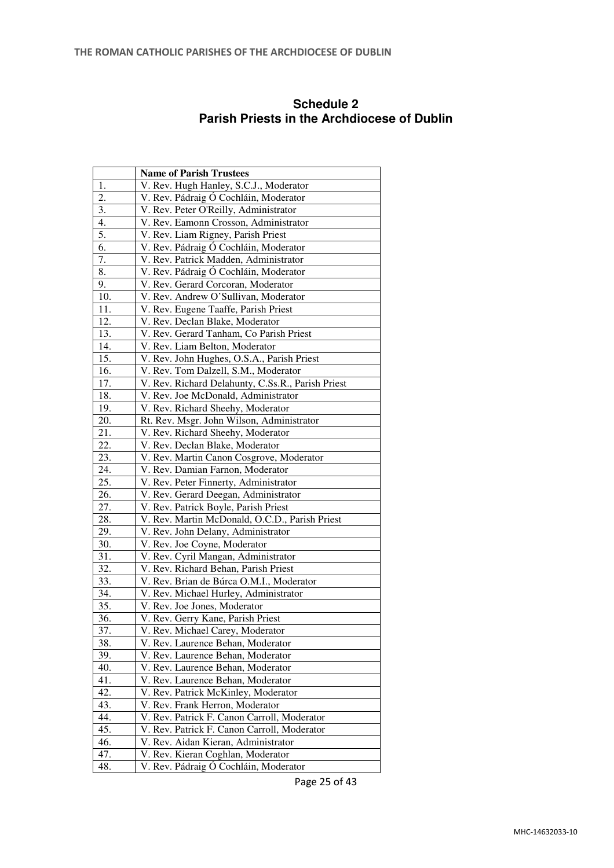|                   | <b>Name of Parish Trustees</b>                                                   |
|-------------------|----------------------------------------------------------------------------------|
| 1.                | V. Rev. Hugh Hanley, S.C.J., Moderator                                           |
| 2.                | V. Rev. Pádraig Ó Cochláin, Moderator                                            |
| 3.                | V. Rev. Peter O'Reilly, Administrator                                            |
| 4.                | V. Rev. Eamonn Crosson, Administrator                                            |
| 5.                | V. Rev. Liam Rigney, Parish Priest                                               |
| 6.                | V. Rev. Pádraig Ó Cochláin, Moderator                                            |
| 7.                | V. Rev. Patrick Madden, Administrator                                            |
| 8.                | V. Rev. Pádraig Ó Cochláin, Moderator                                            |
| 9.                | V. Rev. Gerard Corcoran, Moderator                                               |
| 10.               | V. Rev. Andrew O'Sullivan, Moderator                                             |
| 11.               | V. Rev. Eugene Taaffe, Parish Priest                                             |
| $\overline{1}2.$  | V. Rev. Declan Blake, Moderator                                                  |
| 13.               | V. Rev. Gerard Tanham, Co Parish Priest                                          |
| 14.               | V. Rev. Liam Belton, Moderator                                                   |
| 15.               | V. Rev. John Hughes, O.S.A., Parish Priest                                       |
| 16.               | V. Rev. Tom Dalzell, S.M., Moderator                                             |
| 17.               | V. Rev. Richard Delahunty, C.Ss.R., Parish Priest                                |
| 18.               | V. Rev. Joe McDonald, Administrator                                              |
| 19.               | V. Rev. Richard Sheehy, Moderator                                                |
| 20.               | Rt. Rev. Msgr. John Wilson, Administrator                                        |
| 21.               | V. Rev. Richard Sheehy, Moderator                                                |
| 22.               | V. Rev. Declan Blake, Moderator                                                  |
| 23.               | V. Rev. Martin Canon Cosgrove, Moderator                                         |
| 24.               | V. Rev. Damian Farnon, Moderator                                                 |
| 25.               | V. Rev. Peter Finnerty, Administrator                                            |
| 26.               | V. Rev. Gerard Deegan, Administrator                                             |
| 27.               | V. Rev. Patrick Boyle, Parish Priest                                             |
| 28.               | V. Rev. Martin McDonald, O.C.D., Parish Priest                                   |
| 29.               | V. Rev. John Delany, Administrator                                               |
| 30.<br>31.        | V. Rev. Joe Coyne, Moderator                                                     |
| $\overline{32}$ . | V. Rev. Cyril Mangan, Administrator                                              |
| 33.               | V. Rev. Richard Behan, Parish Priest<br>V. Rev. Brian de Búrca O.M.I., Moderator |
| 34.               | V. Rev. Michael Hurley, Administrator                                            |
| $\overline{35}$ . | V. Rev. Joe Jones, Moderator                                                     |
| 36.               | V. Rev. Gerry Kane, Parish Priest                                                |
| 37.               | V. Rev. Michael Carey, Moderator                                                 |
| 38.               | V. Rev. Laurence Behan, Moderator                                                |
| 39.               | V. Rev. Laurence Behan, Moderator                                                |
| 40.               | V. Rev. Laurence Behan, Moderator                                                |
| 41.               | V. Rev. Laurence Behan, Moderator                                                |
| 42.               | V. Rev. Patrick McKinley, Moderator                                              |
| 43.               | V. Rev. Frank Herron, Moderator                                                  |
| 44.               | V. Rev. Patrick F. Canon Carroll, Moderator                                      |
| 45.               | V. Rev. Patrick F. Canon Carroll, Moderator                                      |
| 46.               | V. Rev. Aidan Kieran, Administrator                                              |
| 47.               | V. Rev. Kieran Coghlan, Moderator                                                |
| 48.               | V. Rev. Pádraig Ó Cochláin, Moderator                                            |
|                   |                                                                                  |

#### **Schedule 2 Parish Priests in the Archdiocese of Dublin**

Page 25 of 43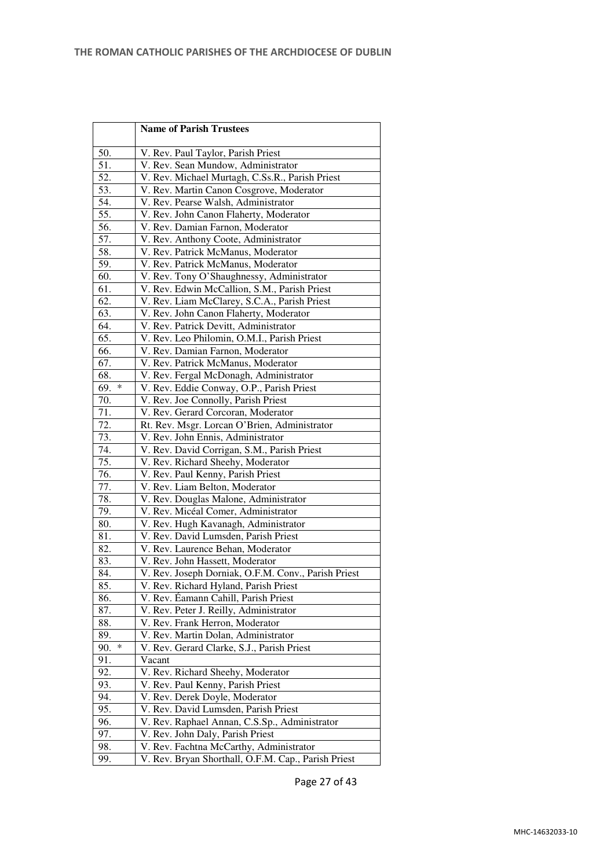|            | <b>Name of Parish Trustees</b>                                         |
|------------|------------------------------------------------------------------------|
| 50.        | V. Rev. Paul Taylor, Parish Priest                                     |
| 51.        | V. Rev. Sean Mundow, Administrator                                     |
| 52.        | V. Rev. Michael Murtagh, C.Ss.R., Parish Priest                        |
| 53.        | V. Rev. Martin Canon Cosgrove, Moderator                               |
| 54.        | V. Rev. Pearse Walsh, Administrator                                    |
| 55.        | V. Rev. John Canon Flaherty, Moderator                                 |
| 56.        | V. Rev. Damian Farnon, Moderator                                       |
| 57.        | V. Rev. Anthony Coote, Administrator                                   |
| 58.        | V. Rev. Patrick McManus, Moderator                                     |
| 59.        | V. Rev. Patrick McManus, Moderator                                     |
| 60.        | V. Rev. Tony O'Shaughnessy, Administrator                              |
| 61.        | V. Rev. Edwin McCallion, S.M., Parish Priest                           |
| 62.        | V. Rev. Liam McClarey, S.C.A., Parish Priest                           |
| 63.        | V. Rev. John Canon Flaherty, Moderator                                 |
| 64.        | V. Rev. Patrick Devitt, Administrator                                  |
| 65.        | V. Rev. Leo Philomin, O.M.I., Parish Priest                            |
| 66.        | V. Rev. Damian Farnon, Moderator                                       |
| 67.        | V. Rev. Patrick McManus, Moderator                                     |
| 68.        | V. Rev. Fergal McDonagh, Administrator                                 |
| *<br>69.   | V. Rev. Eddie Conway, O.P., Parish Priest                              |
| 70.        | V. Rev. Joe Connolly, Parish Priest                                    |
| 71.        | V. Rev. Gerard Corcoran, Moderator                                     |
| 72.        | Rt. Rev. Msgr. Lorcan O'Brien, Administrator                           |
| 73.        | V. Rev. John Ennis, Administrator                                      |
| 74.        | V. Rev. David Corrigan, S.M., Parish Priest                            |
| 75.        | V. Rev. Richard Sheehy, Moderator                                      |
| 76.        | V. Rev. Paul Kenny, Parish Priest                                      |
| 77.        | V. Rev. Liam Belton, Moderator                                         |
| 78.        | V. Rev. Douglas Malone, Administrator                                  |
| 79.        | V. Rev. Micéal Comer, Administrator                                    |
| 80.        | V. Rev. Hugh Kavanagh, Administrator                                   |
| 81.        | V. Rev. David Lumsden, Parish Priest                                   |
| 82.        | V. Rev. Laurence Behan, Moderator                                      |
| 83.        | V. Rev. John Hassett, Moderator                                        |
| 84.        | V. Rev. Joseph Dorniak, O.F.M. Conv., Parish Priest                    |
| 85.        | V. Rev. Richard Hyland, Parish Priest                                  |
| 86.        | V. Rev. Éamann Cahill, Parish Priest                                   |
| 87.        | V. Rev. Peter J. Reilly, Administrator                                 |
| 88.        | V. Rev. Frank Herron, Moderator                                        |
| 89.<br>∗   | V. Rev. Martin Dolan, Administrator                                    |
| 90.        | V. Rev. Gerard Clarke, S.J., Parish Priest                             |
| 91.        | Vacant                                                                 |
| 92.        | V. Rev. Richard Sheehy, Moderator                                      |
| 93.<br>94. | V. Rev. Paul Kenny, Parish Priest                                      |
| 95.        | V. Rev. Derek Doyle, Moderator<br>V. Rev. David Lumsden, Parish Priest |
| 96.        | V. Rev. Raphael Annan, C.S.Sp., Administrator                          |
| 97.        | V. Rev. John Daly, Parish Priest                                       |
| 98.        | V. Rev. Fachtna McCarthy, Administrator                                |
| 99.        | V. Rev. Bryan Shorthall, O.F.M. Cap., Parish Priest                    |

Page 27 of 43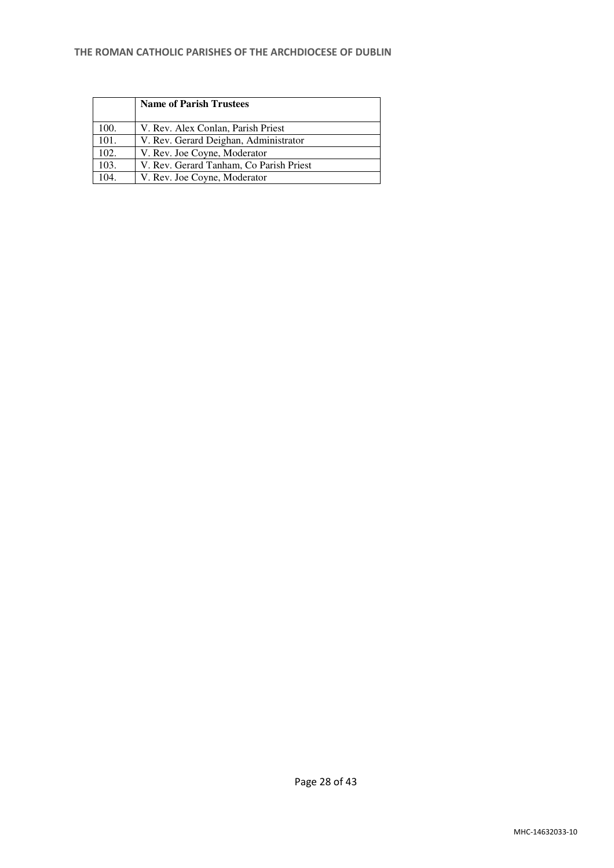#### **THE ROMAN CATHOLIC PARISHES OF THE ARCHDIOCESE OF DUBLIN**

|      | <b>Name of Parish Trustees</b>          |
|------|-----------------------------------------|
| 100. | V. Rev. Alex Conlan, Parish Priest      |
| 101. | V. Rev. Gerard Deighan, Administrator   |
| 102. | V. Rev. Joe Coyne, Moderator            |
| 103. | V. Rev. Gerard Tanham, Co Parish Priest |
| 104. | V. Rev. Joe Coyne, Moderator            |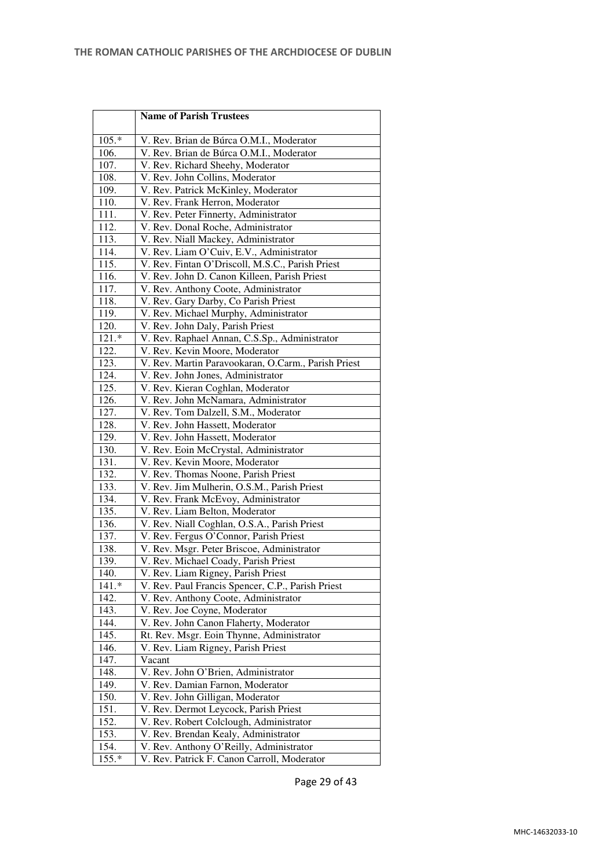|         | <b>Name of Parish Trustees</b>                      |
|---------|-----------------------------------------------------|
| $105.*$ | V. Rev. Brian de Búrca O.M.I., Moderator            |
| 106.    | V. Rev. Brian de Búrca O.M.I., Moderator            |
| 107.    | V. Rev. Richard Sheehy, Moderator                   |
| 108.    | V. Rev. John Collins, Moderator                     |
| 109.    | V. Rev. Patrick McKinley, Moderator                 |
| 110.    | V. Rev. Frank Herron, Moderator                     |
| 111.    | V. Rev. Peter Finnerty, Administrator               |
| 112.    | V. Rev. Donal Roche, Administrator                  |
| 113.    | V. Rev. Niall Mackey, Administrator                 |
| 114.    | V. Rev. Liam O'Cuiv, E.V., Administrator            |
| 115.    | V. Rev. Fintan O'Driscoll, M.S.C., Parish Priest    |
| 116.    | V. Rev. John D. Canon Killeen, Parish Priest        |
| 117.    | V. Rev. Anthony Coote, Administrator                |
| 118.    | V. Rev. Gary Darby, Co Parish Priest                |
| 119.    | V. Rev. Michael Murphy, Administrator               |
| 120.    | V. Rev. John Daly, Parish Priest                    |
| 121.    | V. Rev. Raphael Annan, C.S.Sp., Administrator       |
| 122.    | V. Rev. Kevin Moore, Moderator                      |
| 123.    | V. Rev. Martin Paravookaran, O.Carm., Parish Priest |
| 124.    | V. Rev. John Jones, Administrator                   |
| 125.    | V. Rev. Kieran Coghlan, Moderator                   |
| 126.    | V. Rev. John McNamara, Administrator                |
| 127.    | V. Rev. Tom Dalzell, S.M., Moderator                |
| 128.    | V. Rev. John Hassett, Moderator                     |
| 129.    | V. Rev. John Hassett, Moderator                     |
| 130.    | V. Rev. Eoin McCrystal, Administrator               |
| 131.    | V. Rev. Kevin Moore, Moderator                      |
| 132.    | V. Rev. Thomas Noone, Parish Priest                 |
| 133.    | V. Rev. Jim Mulherin, O.S.M., Parish Priest         |
| 134.    | V. Rev. Frank McEvoy, Administrator                 |
| 135.    | V. Rev. Liam Belton, Moderator                      |
| 136.    | V. Rev. Niall Coghlan, O.S.A., Parish Priest        |
| 137.    | V. Rev. Fergus O'Connor, Parish Priest              |
| 138.    | V. Rev. Msgr. Peter Briscoe, Administrator          |
| 139.    | V. Rev. Michael Coady, Parish Priest                |
| 140.    | V. Rev. Liam Rigney, Parish Priest                  |
| 141.*   | V. Rev. Paul Francis Spencer, C.P., Parish Priest   |
| 142.    | V. Rev. Anthony Coote, Administrator                |
| 143.    | V. Rev. Joe Coyne, Moderator                        |
| 144.    | V. Rev. John Canon Flaherty, Moderator              |
| 145.    | Rt. Rev. Msgr. Eoin Thynne, Administrator           |
| 146.    | V. Rev. Liam Rigney, Parish Priest                  |
| 147.    | Vacant                                              |
| 148.    | V. Rev. John O'Brien, Administrator                 |
| 149.    | V. Rev. Damian Farnon, Moderator                    |
| 150.    | V. Rev. John Gilligan, Moderator                    |
| 151.    | V. Rev. Dermot Leycock, Parish Priest               |
| 152.    | V. Rev. Robert Colclough, Administrator             |
| 153.    | V. Rev. Brendan Kealy, Administrator                |
| 154.    | V. Rev. Anthony O'Reilly, Administrator             |
| 155.*   | V. Rev. Patrick F. Canon Carroll, Moderator         |

Page 29 of 43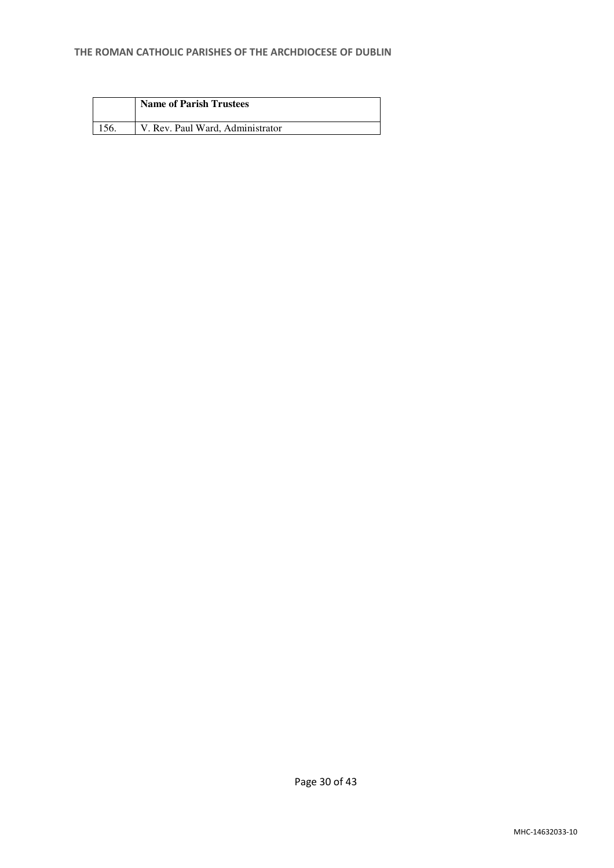| <b>Name of Parish Trustees</b>   |
|----------------------------------|
| V. Rev. Paul Ward, Administrator |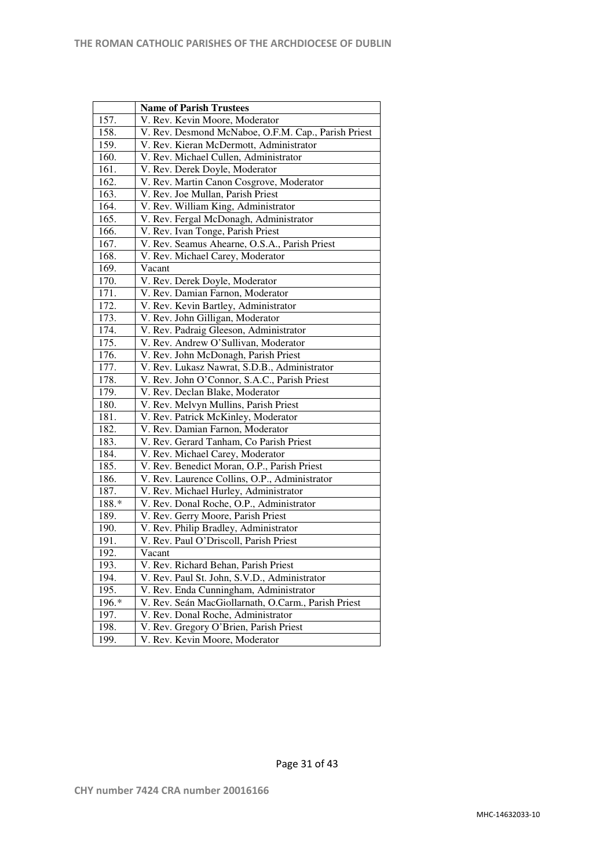|       | <b>Name of Parish Trustees</b>                      |
|-------|-----------------------------------------------------|
| 157.  | V. Rev. Kevin Moore, Moderator                      |
| 158.  | V. Rev. Desmond McNaboe, O.F.M. Cap., Parish Priest |
| 159.  | V. Rev. Kieran McDermott, Administrator             |
| 160.  | V. Rev. Michael Cullen, Administrator               |
| 161.  | V. Rev. Derek Doyle, Moderator                      |
| 162.  | V. Rev. Martin Canon Cosgrove, Moderator            |
| 163.  | V. Rev. Joe Mullan, Parish Priest                   |
| 164.  | V. Rev. William King, Administrator                 |
| 165.  | V. Rev. Fergal McDonagh, Administrator              |
| 166.  | V. Rev. Ivan Tonge, Parish Priest                   |
| 167.  | V. Rev. Seamus Ahearne, O.S.A., Parish Priest       |
| 168.  | V. Rev. Michael Carey, Moderator                    |
| 169.  | Vacant                                              |
| 170.  | V. Rev. Derek Doyle, Moderator                      |
| 171.  | V. Rev. Damian Farnon, Moderator                    |
| 172.  | V. Rev. Kevin Bartley, Administrator                |
| 173.  | V. Rev. John Gilligan, Moderator                    |
| 174.  | V. Rev. Padraig Gleeson, Administrator              |
| 175.  | V. Rev. Andrew O'Sullivan, Moderator                |
| 176.  | V. Rev. John McDonagh, Parish Priest                |
| 177.  | V. Rev. Lukasz Nawrat, S.D.B., Administrator        |
| 178.  | V. Rev. John O'Connor, S.A.C., Parish Priest        |
| 179.  | V. Rev. Declan Blake, Moderator                     |
| 180.  | V. Rev. Melvyn Mullins, Parish Priest               |
| 181.  | V. Rev. Patrick McKinley, Moderator                 |
| 182.  | V. Rev. Damian Farnon, Moderator                    |
| 183.  | V. Rev. Gerard Tanham, Co Parish Priest             |
| 184.  | V. Rev. Michael Carey, Moderator                    |
| 185.  | V. Rev. Benedict Moran, O.P., Parish Priest         |
| 186.  | V. Rev. Laurence Collins, O.P., Administrator       |
| 187.  | V. Rev. Michael Hurley, Administrator               |
| 188.* | V. Rev. Donal Roche, O.P., Administrator            |
| 189.  | V. Rev. Gerry Moore, Parish Priest                  |
| 190.  | V. Rev. Philip Bradley, Administrator               |
| 191.  | V. Rev. Paul O'Driscoll, Parish Priest              |
| 192.  | Vacant                                              |
| 193.  | V. Rev. Richard Behan, Parish Priest                |
| 194.  | V. Rev. Paul St. John, S.V.D., Administrator        |
| 195.  | V. Rev. Enda Cunningham, Administrator              |
| 196.* | V. Rev. Seán MacGiollarnath, O.Carm., Parish Priest |
| 197.  | V. Rev. Donal Roche, Administrator                  |
| 198.  | V. Rev. Gregory O'Brien, Parish Priest              |
| 199.  | V. Rev. Kevin Moore, Moderator                      |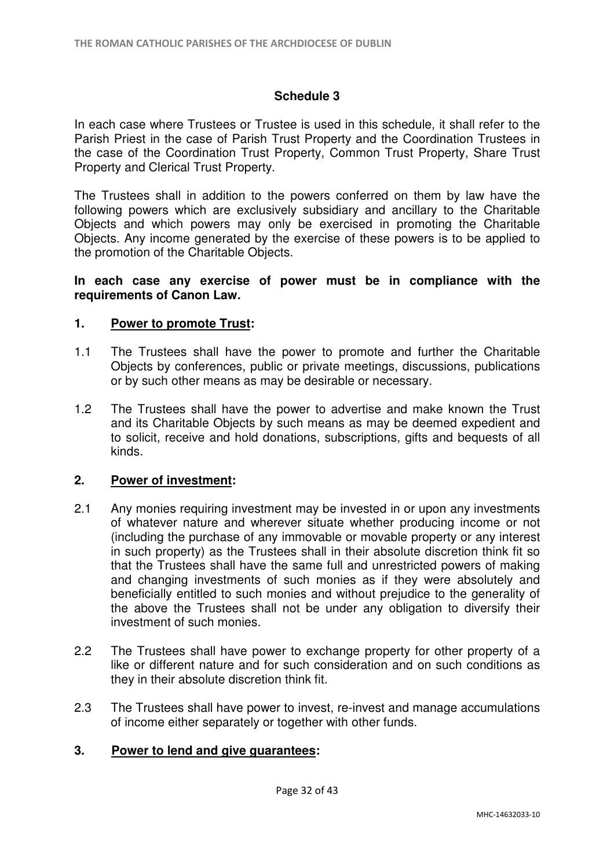### **Schedule 3**

In each case where Trustees or Trustee is used in this schedule, it shall refer to the Parish Priest in the case of Parish Trust Property and the Coordination Trustees in the case of the Coordination Trust Property, Common Trust Property, Share Trust Property and Clerical Trust Property.

The Trustees shall in addition to the powers conferred on them by law have the following powers which are exclusively subsidiary and ancillary to the Charitable Objects and which powers may only be exercised in promoting the Charitable Objects. Any income generated by the exercise of these powers is to be applied to the promotion of the Charitable Objects.

#### **In each case any exercise of power must be in compliance with the requirements of Canon Law.**

### **1. Power to promote Trust:**

- 1.1 The Trustees shall have the power to promote and further the Charitable Objects by conferences, public or private meetings, discussions, publications or by such other means as may be desirable or necessary.
- 1.2 The Trustees shall have the power to advertise and make known the Trust and its Charitable Objects by such means as may be deemed expedient and to solicit, receive and hold donations, subscriptions, gifts and bequests of all kinds.

#### **2. Power of investment:**

- 2.1 Any monies requiring investment may be invested in or upon any investments of whatever nature and wherever situate whether producing income or not (including the purchase of any immovable or movable property or any interest in such property) as the Trustees shall in their absolute discretion think fit so that the Trustees shall have the same full and unrestricted powers of making and changing investments of such monies as if they were absolutely and beneficially entitled to such monies and without prejudice to the generality of the above the Trustees shall not be under any obligation to diversify their investment of such monies.
- 2.2 The Trustees shall have power to exchange property for other property of a like or different nature and for such consideration and on such conditions as they in their absolute discretion think fit.
- 2.3 The Trustees shall have power to invest, re-invest and manage accumulations of income either separately or together with other funds.

### **3. Power to lend and give guarantees:**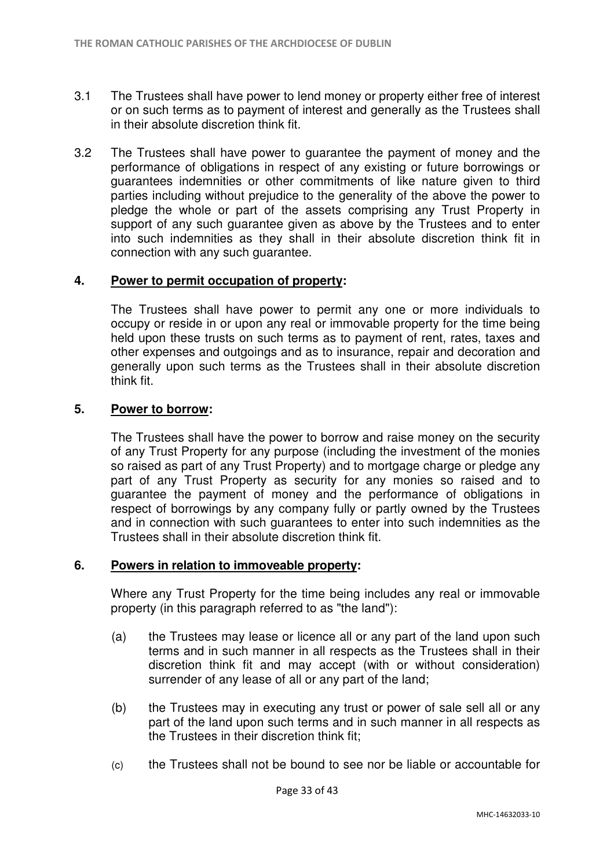- 3.1 The Trustees shall have power to lend money or property either free of interest or on such terms as to payment of interest and generally as the Trustees shall in their absolute discretion think fit.
- 3.2 The Trustees shall have power to guarantee the payment of money and the performance of obligations in respect of any existing or future borrowings or guarantees indemnities or other commitments of like nature given to third parties including without prejudice to the generality of the above the power to pledge the whole or part of the assets comprising any Trust Property in support of any such guarantee given as above by the Trustees and to enter into such indemnities as they shall in their absolute discretion think fit in connection with any such guarantee.

### **4. Power to permit occupation of property:**

 The Trustees shall have power to permit any one or more individuals to occupy or reside in or upon any real or immovable property for the time being held upon these trusts on such terms as to payment of rent, rates, taxes and other expenses and outgoings and as to insurance, repair and decoration and generally upon such terms as the Trustees shall in their absolute discretion think fit.

### **5. Power to borrow:**

 The Trustees shall have the power to borrow and raise money on the security of any Trust Property for any purpose (including the investment of the monies so raised as part of any Trust Property) and to mortgage charge or pledge any part of any Trust Property as security for any monies so raised and to guarantee the payment of money and the performance of obligations in respect of borrowings by any company fully or partly owned by the Trustees and in connection with such guarantees to enter into such indemnities as the Trustees shall in their absolute discretion think fit.

#### **6. Powers in relation to immoveable property:**

Where any Trust Property for the time being includes any real or immovable property (in this paragraph referred to as "the land"):

- (a) the Trustees may lease or licence all or any part of the land upon such terms and in such manner in all respects as the Trustees shall in their discretion think fit and may accept (with or without consideration) surrender of any lease of all or any part of the land;
- (b) the Trustees may in executing any trust or power of sale sell all or any part of the land upon such terms and in such manner in all respects as the Trustees in their discretion think fit;
- (c) the Trustees shall not be bound to see nor be liable or accountable for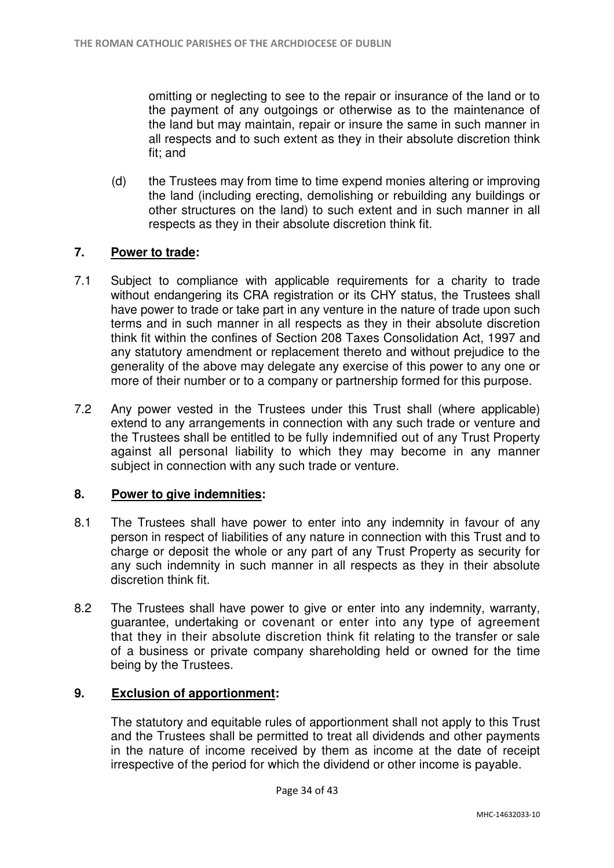omitting or neglecting to see to the repair or insurance of the land or to the payment of any outgoings or otherwise as to the maintenance of the land but may maintain, repair or insure the same in such manner in all respects and to such extent as they in their absolute discretion think fit; and

(d) the Trustees may from time to time expend monies altering or improving the land (including erecting, demolishing or rebuilding any buildings or other structures on the land) to such extent and in such manner in all respects as they in their absolute discretion think fit.

## **7. Power to trade:**

- 7.1 Subject to compliance with applicable requirements for a charity to trade without endangering its CRA registration or its CHY status, the Trustees shall have power to trade or take part in any venture in the nature of trade upon such terms and in such manner in all respects as they in their absolute discretion think fit within the confines of Section 208 Taxes Consolidation Act, 1997 and any statutory amendment or replacement thereto and without prejudice to the generality of the above may delegate any exercise of this power to any one or more of their number or to a company or partnership formed for this purpose.
- 7.2 Any power vested in the Trustees under this Trust shall (where applicable) extend to any arrangements in connection with any such trade or venture and the Trustees shall be entitled to be fully indemnified out of any Trust Property against all personal liability to which they may become in any manner subject in connection with any such trade or venture.

### **8. Power to give indemnities:**

- 8.1 The Trustees shall have power to enter into any indemnity in favour of any person in respect of liabilities of any nature in connection with this Trust and to charge or deposit the whole or any part of any Trust Property as security for any such indemnity in such manner in all respects as they in their absolute discretion think fit.
- 8.2 The Trustees shall have power to give or enter into any indemnity, warranty, guarantee, undertaking or covenant or enter into any type of agreement that they in their absolute discretion think fit relating to the transfer or sale of a business or private company shareholding held or owned for the time being by the Trustees.

### **9. Exclusion of apportionment:**

The statutory and equitable rules of apportionment shall not apply to this Trust and the Trustees shall be permitted to treat all dividends and other payments in the nature of income received by them as income at the date of receipt irrespective of the period for which the dividend or other income is payable.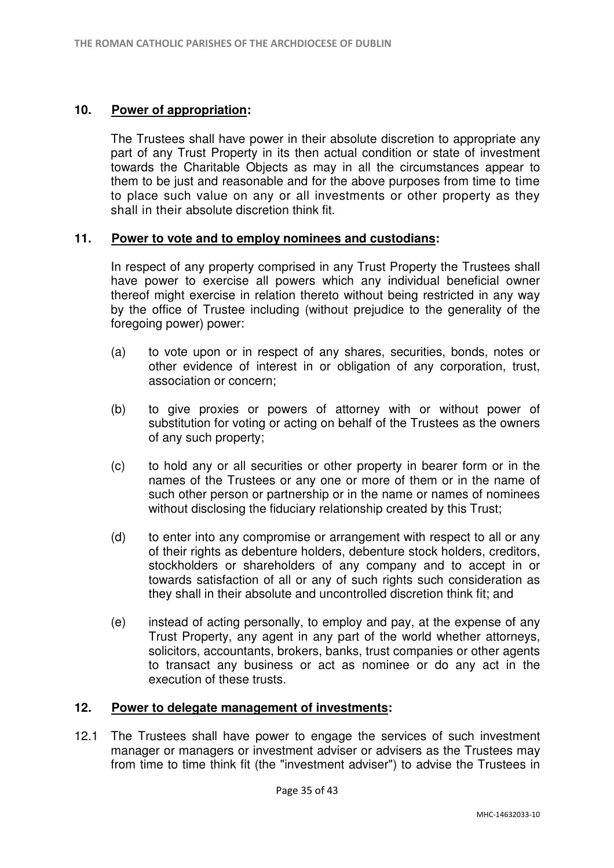### **10. Power of appropriation:**

The Trustees shall have power in their absolute discretion to appropriate any part of any Trust Property in its then actual condition or state of investment towards the Charitable Objects as may in all the circumstances appear to them to be just and reasonable and for the above purposes from time to time to place such value on any or all investments or other property as they shall in their absolute discretion think fit.

## **11. Power to vote and to employ nominees and custodians:**

In respect of any property comprised in any Trust Property the Trustees shall have power to exercise all powers which any individual beneficial owner thereof might exercise in relation thereto without being restricted in any way by the office of Trustee including (without prejudice to the generality of the foregoing power) power:

- (a) to vote upon or in respect of any shares, securities, bonds, notes or other evidence of interest in or obligation of any corporation, trust, association or concern;
- (b) to give proxies or powers of attorney with or without power of substitution for voting or acting on behalf of the Trustees as the owners of any such property;
- (c) to hold any or all securities or other property in bearer form or in the names of the Trustees or any one or more of them or in the name of such other person or partnership or in the name or names of nominees without disclosing the fiduciary relationship created by this Trust;
- (d) to enter into any compromise or arrangement with respect to all or any of their rights as debenture holders, debenture stock holders, creditors, stockholders or shareholders of any company and to accept in or towards satisfaction of all or any of such rights such consideration as they shall in their absolute and uncontrolled discretion think fit; and
- (e) instead of acting personally, to employ and pay, at the expense of any Trust Property, any agent in any part of the world whether attorneys, solicitors, accountants, brokers, banks, trust companies or other agents to transact any business or act as nominee or do any act in the execution of these trusts.

### **12. Power to delegate management of investments:**

12.1 The Trustees shall have power to engage the services of such investment manager or managers or investment adviser or advisers as the Trustees may from time to time think fit (the "investment adviser") to advise the Trustees in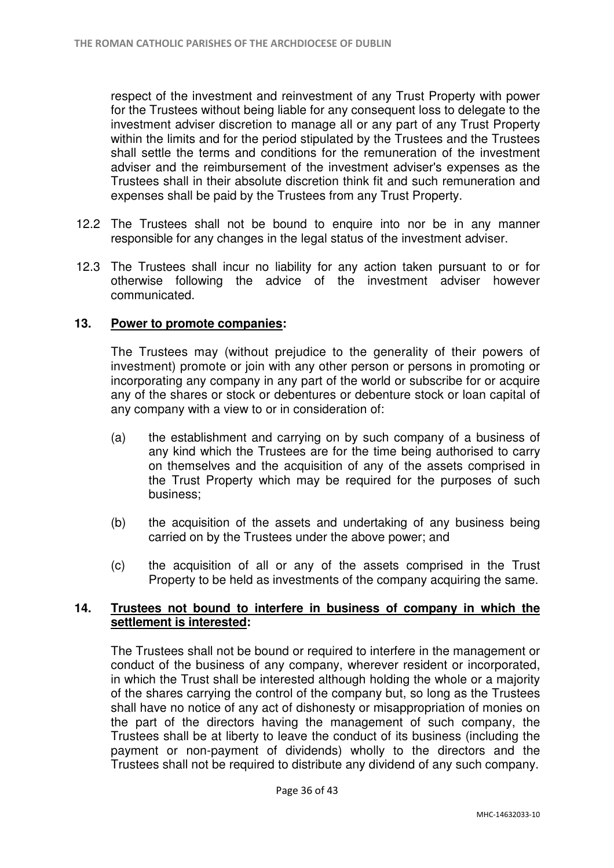respect of the investment and reinvestment of any Trust Property with power for the Trustees without being liable for any consequent loss to delegate to the investment adviser discretion to manage all or any part of any Trust Property within the limits and for the period stipulated by the Trustees and the Trustees shall settle the terms and conditions for the remuneration of the investment adviser and the reimbursement of the investment adviser's expenses as the Trustees shall in their absolute discretion think fit and such remuneration and expenses shall be paid by the Trustees from any Trust Property.

- 12.2 The Trustees shall not be bound to enquire into nor be in any manner responsible for any changes in the legal status of the investment adviser.
- 12.3 The Trustees shall incur no liability for any action taken pursuant to or for otherwise following the advice of the investment adviser however communicated.

### **13. Power to promote companies:**

The Trustees may (without prejudice to the generality of their powers of investment) promote or join with any other person or persons in promoting or incorporating any company in any part of the world or subscribe for or acquire any of the shares or stock or debentures or debenture stock or loan capital of any company with a view to or in consideration of:

- (a) the establishment and carrying on by such company of a business of any kind which the Trustees are for the time being authorised to carry on themselves and the acquisition of any of the assets comprised in the Trust Property which may be required for the purposes of such business;
- (b) the acquisition of the assets and undertaking of any business being carried on by the Trustees under the above power; and
- (c) the acquisition of all or any of the assets comprised in the Trust Property to be held as investments of the company acquiring the same.

### **14. Trustees not bound to interfere in business of company in which the settlement is interested:**

The Trustees shall not be bound or required to interfere in the management or conduct of the business of any company, wherever resident or incorporated, in which the Trust shall be interested although holding the whole or a majority of the shares carrying the control of the company but, so long as the Trustees shall have no notice of any act of dishonesty or misappropriation of monies on the part of the directors having the management of such company, the Trustees shall be at liberty to leave the conduct of its business (including the payment or non-payment of dividends) wholly to the directors and the Trustees shall not be required to distribute any dividend of any such company.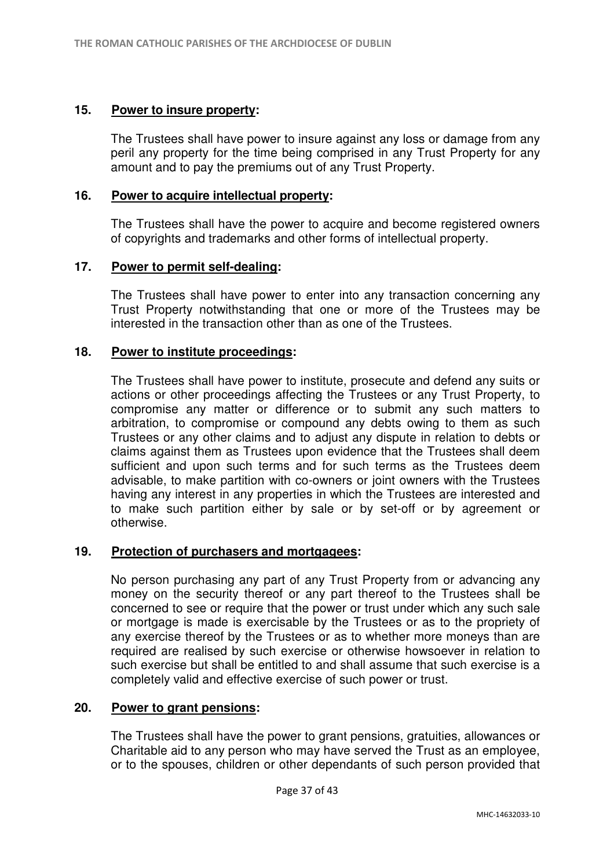#### **15. Power to insure property:**

The Trustees shall have power to insure against any loss or damage from any peril any property for the time being comprised in any Trust Property for any amount and to pay the premiums out of any Trust Property.

#### **16. Power to acquire intellectual property:**

The Trustees shall have the power to acquire and become registered owners of copyrights and trademarks and other forms of intellectual property.

### **17. Power to permit self-dealing:**

 The Trustees shall have power to enter into any transaction concerning any Trust Property notwithstanding that one or more of the Trustees may be interested in the transaction other than as one of the Trustees.

### **18. Power to institute proceedings:**

The Trustees shall have power to institute, prosecute and defend any suits or actions or other proceedings affecting the Trustees or any Trust Property, to compromise any matter or difference or to submit any such matters to arbitration, to compromise or compound any debts owing to them as such Trustees or any other claims and to adjust any dispute in relation to debts or claims against them as Trustees upon evidence that the Trustees shall deem sufficient and upon such terms and for such terms as the Trustees deem advisable, to make partition with co-owners or joint owners with the Trustees having any interest in any properties in which the Trustees are interested and to make such partition either by sale or by set-off or by agreement or otherwise.

### **19. Protection of purchasers and mortgagees:**

No person purchasing any part of any Trust Property from or advancing any money on the security thereof or any part thereof to the Trustees shall be concerned to see or require that the power or trust under which any such sale or mortgage is made is exercisable by the Trustees or as to the propriety of any exercise thereof by the Trustees or as to whether more moneys than are required are realised by such exercise or otherwise howsoever in relation to such exercise but shall be entitled to and shall assume that such exercise is a completely valid and effective exercise of such power or trust.

#### **20. Power to grant pensions:**

The Trustees shall have the power to grant pensions, gratuities, allowances or Charitable aid to any person who may have served the Trust as an employee, or to the spouses, children or other dependants of such person provided that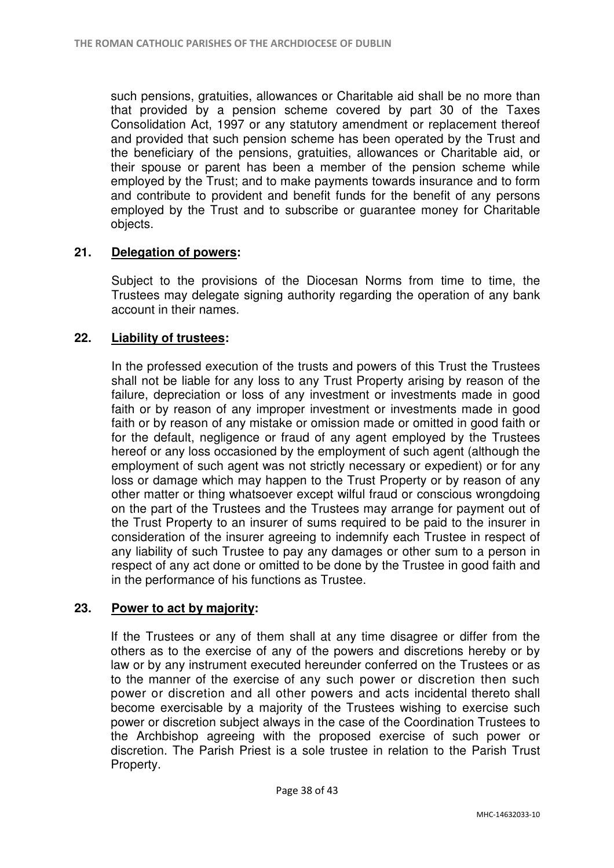such pensions, gratuities, allowances or Charitable aid shall be no more than that provided by a pension scheme covered by part 30 of the Taxes Consolidation Act, 1997 or any statutory amendment or replacement thereof and provided that such pension scheme has been operated by the Trust and the beneficiary of the pensions, gratuities, allowances or Charitable aid, or their spouse or parent has been a member of the pension scheme while employed by the Trust; and to make payments towards insurance and to form and contribute to provident and benefit funds for the benefit of any persons employed by the Trust and to subscribe or guarantee money for Charitable objects.

## **21. Delegation of powers:**

Subject to the provisions of the Diocesan Norms from time to time, the Trustees may delegate signing authority regarding the operation of any bank account in their names.

## **22. Liability of trustees:**

In the professed execution of the trusts and powers of this Trust the Trustees shall not be liable for any loss to any Trust Property arising by reason of the failure, depreciation or loss of any investment or investments made in good faith or by reason of any improper investment or investments made in good faith or by reason of any mistake or omission made or omitted in good faith or for the default, negligence or fraud of any agent employed by the Trustees hereof or any loss occasioned by the employment of such agent (although the employment of such agent was not strictly necessary or expedient) or for any loss or damage which may happen to the Trust Property or by reason of any other matter or thing whatsoever except wilful fraud or conscious wrongdoing on the part of the Trustees and the Trustees may arrange for payment out of the Trust Property to an insurer of sums required to be paid to the insurer in consideration of the insurer agreeing to indemnify each Trustee in respect of any liability of such Trustee to pay any damages or other sum to a person in respect of any act done or omitted to be done by the Trustee in good faith and in the performance of his functions as Trustee.

### **23. Power to act by majority:**

If the Trustees or any of them shall at any time disagree or differ from the others as to the exercise of any of the powers and discretions hereby or by law or by any instrument executed hereunder conferred on the Trustees or as to the manner of the exercise of any such power or discretion then such power or discretion and all other powers and acts incidental thereto shall become exercisable by a majority of the Trustees wishing to exercise such power or discretion subject always in the case of the Coordination Trustees to the Archbishop agreeing with the proposed exercise of such power or discretion. The Parish Priest is a sole trustee in relation to the Parish Trust Property.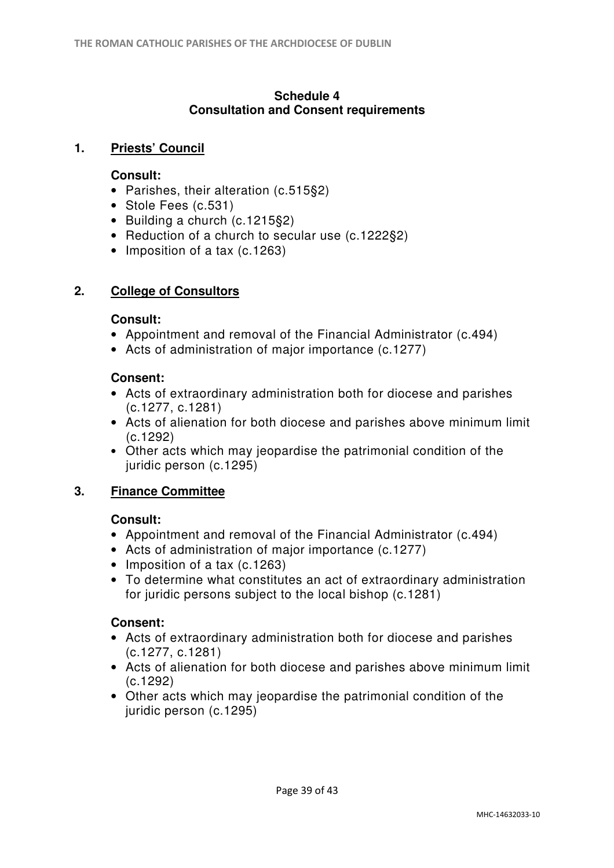### **Schedule 4 Consultation and Consent requirements**

# **1. Priests' Council**

## **Consult:**

- Parishes, their alteration (c.515§2)
- Stole Fees (c.531)
- Building a church (c.1215§2)
- Reduction of a church to secular use (c.1222§2)
- Imposition of a tax (c.1263)

# **2. College of Consultors**

## **Consult:**

- Appointment and removal of the Financial Administrator (c.494)
- Acts of administration of major importance (c.1277)

# **Consent:**

- Acts of extraordinary administration both for diocese and parishes (c.1277, c.1281)
- Acts of alienation for both diocese and parishes above minimum limit (c.1292)
- Other acts which may jeopardise the patrimonial condition of the juridic person (c.1295)

# **3. Finance Committee**

# **Consult:**

- Appointment and removal of the Financial Administrator (c.494)
- Acts of administration of major importance (c.1277)
- Imposition of a tax (c.1263)
- To determine what constitutes an act of extraordinary administration for juridic persons subject to the local bishop (c.1281)

# **Consent:**

- Acts of extraordinary administration both for diocese and parishes (c.1277, c.1281)
- Acts of alienation for both diocese and parishes above minimum limit (c.1292)
- Other acts which may jeopardise the patrimonial condition of the juridic person (c.1295)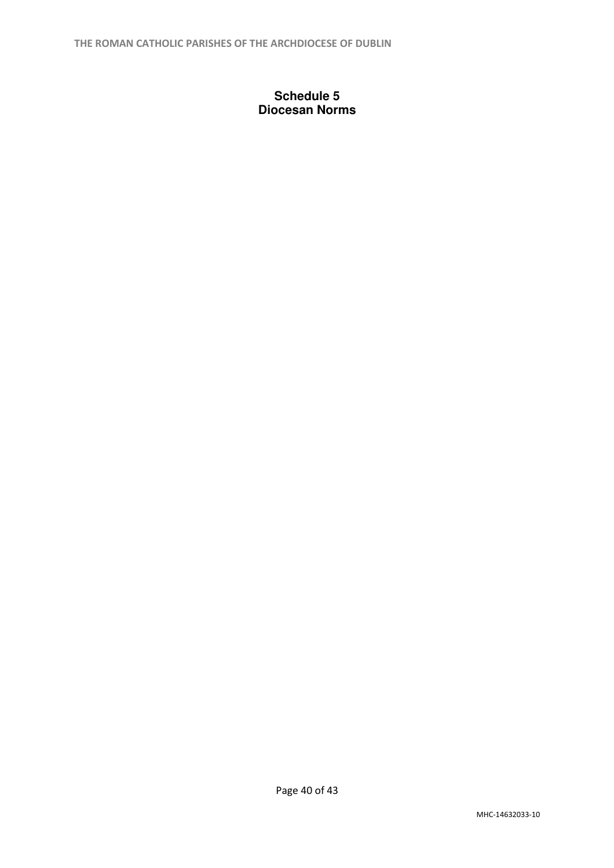## **Schedule 5 Diocesan Norms**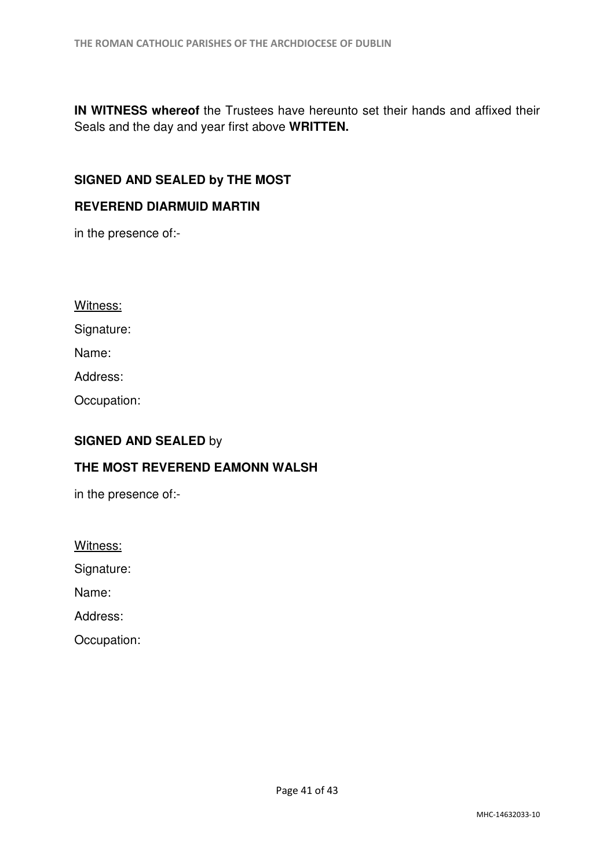**IN WITNESS whereof** the Trustees have hereunto set their hands and affixed their Seals and the day and year first above **WRITTEN.**

## **SIGNED AND SEALED by THE MOST**

#### **REVEREND DIARMUID MARTIN**

in the presence of:-

Witness:

Signature:

Name:

Address:

Occupation:

# **SIGNED AND SEALED** by

### **THE MOST REVEREND EAMONN WALSH**

in the presence of:-

Witness:

Signature:

Name:

Address:

Occupation: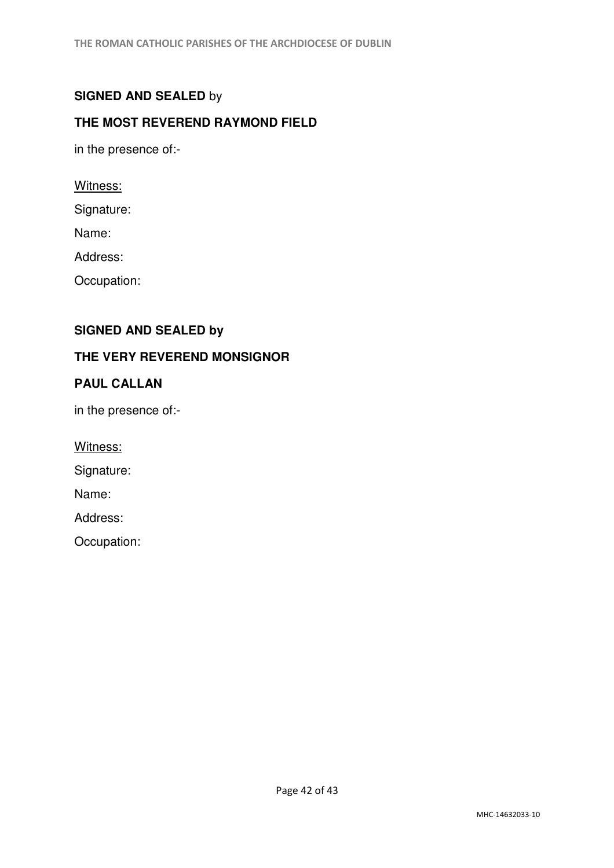# **SIGNED AND SEALED** by

# **THE MOST REVEREND RAYMOND FIELD**

in the presence of:-

Witness:

Signature:

Name:

Address:

Occupation:

# **SIGNED AND SEALED by**

### **THE VERY REVEREND MONSIGNOR**

## **PAUL CALLAN**

in the presence of:-

Witness:

Signature:

Name:

Address:

Occupation: